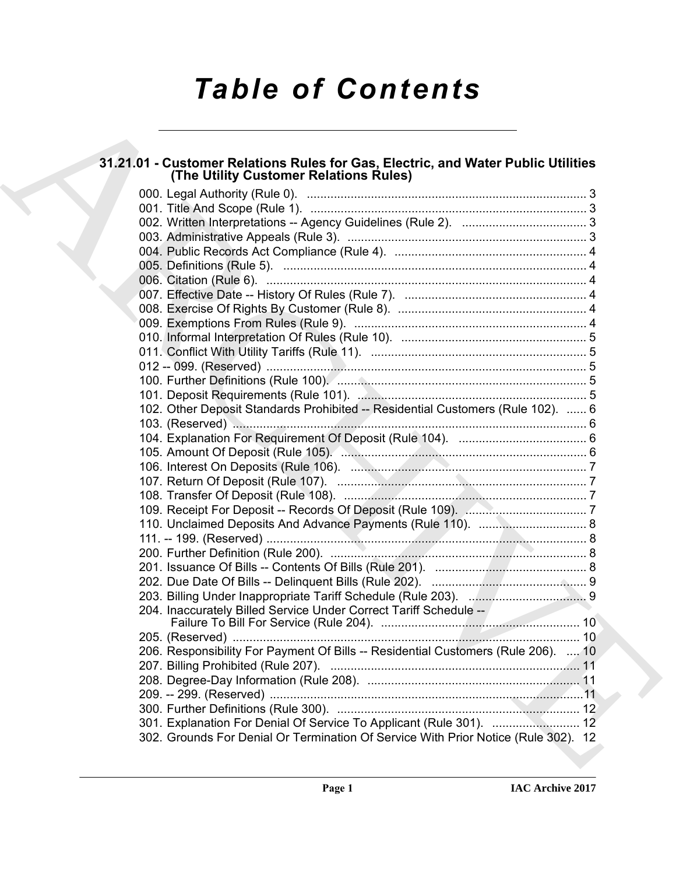# *Table of Contents*

# **31.21.01 - Customer Relations Rules for Gas, Electric, and Water Public Utilities (The Utility Customer Relations Rules)**

| 31.21.01 - Customer Relations Rules for Gas, Electric, and Water Public Utilities<br>(The Utility Customer Relations Rules) |
|-----------------------------------------------------------------------------------------------------------------------------|
|                                                                                                                             |
|                                                                                                                             |
|                                                                                                                             |
|                                                                                                                             |
|                                                                                                                             |
|                                                                                                                             |
|                                                                                                                             |
|                                                                                                                             |
|                                                                                                                             |
|                                                                                                                             |
|                                                                                                                             |
|                                                                                                                             |
|                                                                                                                             |
|                                                                                                                             |
| 102. Other Deposit Standards Prohibited -- Residential Customers (Rule 102).  6                                             |
|                                                                                                                             |
|                                                                                                                             |
|                                                                                                                             |
|                                                                                                                             |
|                                                                                                                             |
|                                                                                                                             |
|                                                                                                                             |
|                                                                                                                             |
|                                                                                                                             |
|                                                                                                                             |
|                                                                                                                             |
|                                                                                                                             |
|                                                                                                                             |
| 204. Inaccurately Billed Service Under Correct Tariff Schedule --                                                           |
|                                                                                                                             |
| 206. Responsibility For Payment Of Bills -- Residential Customers (Rule 206).  10                                           |
|                                                                                                                             |
|                                                                                                                             |
|                                                                                                                             |
|                                                                                                                             |
| 302. Grounds For Denial Or Termination Of Service With Prior Notice (Rule 302). 12                                          |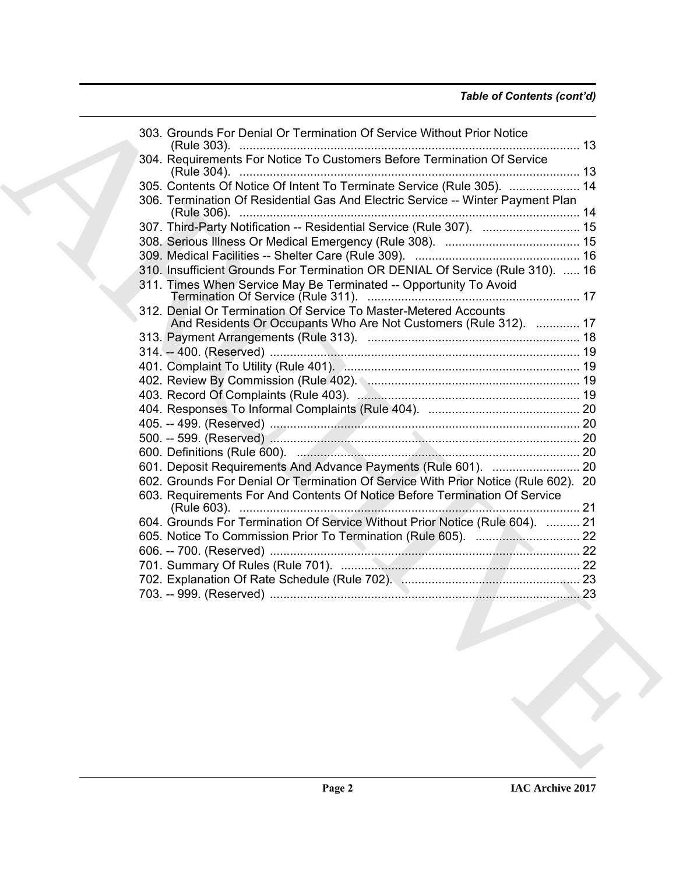# *Table of Contents (cont'd)*

| 304. Requirements For Notice To Customers Before Termination Of Service<br>305. Contents Of Notice Of Intent To Terminate Service (Rule 305).  14<br>306. Termination Of Residential Gas And Electric Service -- Winter Payment Plan<br>307. Third-Party Notification -- Residential Service (Rule 307).  15<br>310. Insufficient Grounds For Termination OR DENIAL Of Service (Rule 310).  16<br>311. Times When Service May Be Terminated -- Opportunity To Avoid<br>312. Denial Or Termination Of Service To Master-Metered Accounts<br>And Residents Or Occupants Who Are Not Customers (Rule 312).  17<br>602. Grounds For Denial Or Termination Of Service With Prior Notice (Rule 602). 20<br>603. Requirements For And Contents Of Notice Before Termination Of Service<br>604. Grounds For Termination Of Service Without Prior Notice (Rule 604).  21<br>703. -- 999. (Reserved)<br>23<br>the contract of the contract of the contract of the contract of the contract of the contract of the contract of | 303. Grounds For Denial Or Termination Of Service Without Prior Notice |  |
|---------------------------------------------------------------------------------------------------------------------------------------------------------------------------------------------------------------------------------------------------------------------------------------------------------------------------------------------------------------------------------------------------------------------------------------------------------------------------------------------------------------------------------------------------------------------------------------------------------------------------------------------------------------------------------------------------------------------------------------------------------------------------------------------------------------------------------------------------------------------------------------------------------------------------------------------------------------------------------------------------------------------|------------------------------------------------------------------------|--|
|                                                                                                                                                                                                                                                                                                                                                                                                                                                                                                                                                                                                                                                                                                                                                                                                                                                                                                                                                                                                                     |                                                                        |  |
|                                                                                                                                                                                                                                                                                                                                                                                                                                                                                                                                                                                                                                                                                                                                                                                                                                                                                                                                                                                                                     |                                                                        |  |
|                                                                                                                                                                                                                                                                                                                                                                                                                                                                                                                                                                                                                                                                                                                                                                                                                                                                                                                                                                                                                     |                                                                        |  |
|                                                                                                                                                                                                                                                                                                                                                                                                                                                                                                                                                                                                                                                                                                                                                                                                                                                                                                                                                                                                                     |                                                                        |  |
|                                                                                                                                                                                                                                                                                                                                                                                                                                                                                                                                                                                                                                                                                                                                                                                                                                                                                                                                                                                                                     |                                                                        |  |
|                                                                                                                                                                                                                                                                                                                                                                                                                                                                                                                                                                                                                                                                                                                                                                                                                                                                                                                                                                                                                     |                                                                        |  |
|                                                                                                                                                                                                                                                                                                                                                                                                                                                                                                                                                                                                                                                                                                                                                                                                                                                                                                                                                                                                                     |                                                                        |  |
|                                                                                                                                                                                                                                                                                                                                                                                                                                                                                                                                                                                                                                                                                                                                                                                                                                                                                                                                                                                                                     |                                                                        |  |
|                                                                                                                                                                                                                                                                                                                                                                                                                                                                                                                                                                                                                                                                                                                                                                                                                                                                                                                                                                                                                     |                                                                        |  |
|                                                                                                                                                                                                                                                                                                                                                                                                                                                                                                                                                                                                                                                                                                                                                                                                                                                                                                                                                                                                                     |                                                                        |  |
|                                                                                                                                                                                                                                                                                                                                                                                                                                                                                                                                                                                                                                                                                                                                                                                                                                                                                                                                                                                                                     |                                                                        |  |
|                                                                                                                                                                                                                                                                                                                                                                                                                                                                                                                                                                                                                                                                                                                                                                                                                                                                                                                                                                                                                     |                                                                        |  |
|                                                                                                                                                                                                                                                                                                                                                                                                                                                                                                                                                                                                                                                                                                                                                                                                                                                                                                                                                                                                                     |                                                                        |  |
|                                                                                                                                                                                                                                                                                                                                                                                                                                                                                                                                                                                                                                                                                                                                                                                                                                                                                                                                                                                                                     |                                                                        |  |
|                                                                                                                                                                                                                                                                                                                                                                                                                                                                                                                                                                                                                                                                                                                                                                                                                                                                                                                                                                                                                     |                                                                        |  |
|                                                                                                                                                                                                                                                                                                                                                                                                                                                                                                                                                                                                                                                                                                                                                                                                                                                                                                                                                                                                                     |                                                                        |  |
|                                                                                                                                                                                                                                                                                                                                                                                                                                                                                                                                                                                                                                                                                                                                                                                                                                                                                                                                                                                                                     |                                                                        |  |
|                                                                                                                                                                                                                                                                                                                                                                                                                                                                                                                                                                                                                                                                                                                                                                                                                                                                                                                                                                                                                     |                                                                        |  |
|                                                                                                                                                                                                                                                                                                                                                                                                                                                                                                                                                                                                                                                                                                                                                                                                                                                                                                                                                                                                                     |                                                                        |  |
|                                                                                                                                                                                                                                                                                                                                                                                                                                                                                                                                                                                                                                                                                                                                                                                                                                                                                                                                                                                                                     |                                                                        |  |
|                                                                                                                                                                                                                                                                                                                                                                                                                                                                                                                                                                                                                                                                                                                                                                                                                                                                                                                                                                                                                     |                                                                        |  |
|                                                                                                                                                                                                                                                                                                                                                                                                                                                                                                                                                                                                                                                                                                                                                                                                                                                                                                                                                                                                                     |                                                                        |  |
|                                                                                                                                                                                                                                                                                                                                                                                                                                                                                                                                                                                                                                                                                                                                                                                                                                                                                                                                                                                                                     |                                                                        |  |
|                                                                                                                                                                                                                                                                                                                                                                                                                                                                                                                                                                                                                                                                                                                                                                                                                                                                                                                                                                                                                     |                                                                        |  |
|                                                                                                                                                                                                                                                                                                                                                                                                                                                                                                                                                                                                                                                                                                                                                                                                                                                                                                                                                                                                                     |                                                                        |  |
|                                                                                                                                                                                                                                                                                                                                                                                                                                                                                                                                                                                                                                                                                                                                                                                                                                                                                                                                                                                                                     |                                                                        |  |
|                                                                                                                                                                                                                                                                                                                                                                                                                                                                                                                                                                                                                                                                                                                                                                                                                                                                                                                                                                                                                     |                                                                        |  |
|                                                                                                                                                                                                                                                                                                                                                                                                                                                                                                                                                                                                                                                                                                                                                                                                                                                                                                                                                                                                                     |                                                                        |  |
|                                                                                                                                                                                                                                                                                                                                                                                                                                                                                                                                                                                                                                                                                                                                                                                                                                                                                                                                                                                                                     |                                                                        |  |
|                                                                                                                                                                                                                                                                                                                                                                                                                                                                                                                                                                                                                                                                                                                                                                                                                                                                                                                                                                                                                     |                                                                        |  |
|                                                                                                                                                                                                                                                                                                                                                                                                                                                                                                                                                                                                                                                                                                                                                                                                                                                                                                                                                                                                                     |                                                                        |  |
|                                                                                                                                                                                                                                                                                                                                                                                                                                                                                                                                                                                                                                                                                                                                                                                                                                                                                                                                                                                                                     |                                                                        |  |
|                                                                                                                                                                                                                                                                                                                                                                                                                                                                                                                                                                                                                                                                                                                                                                                                                                                                                                                                                                                                                     |                                                                        |  |
|                                                                                                                                                                                                                                                                                                                                                                                                                                                                                                                                                                                                                                                                                                                                                                                                                                                                                                                                                                                                                     |                                                                        |  |
|                                                                                                                                                                                                                                                                                                                                                                                                                                                                                                                                                                                                                                                                                                                                                                                                                                                                                                                                                                                                                     |                                                                        |  |
|                                                                                                                                                                                                                                                                                                                                                                                                                                                                                                                                                                                                                                                                                                                                                                                                                                                                                                                                                                                                                     |                                                                        |  |
|                                                                                                                                                                                                                                                                                                                                                                                                                                                                                                                                                                                                                                                                                                                                                                                                                                                                                                                                                                                                                     |                                                                        |  |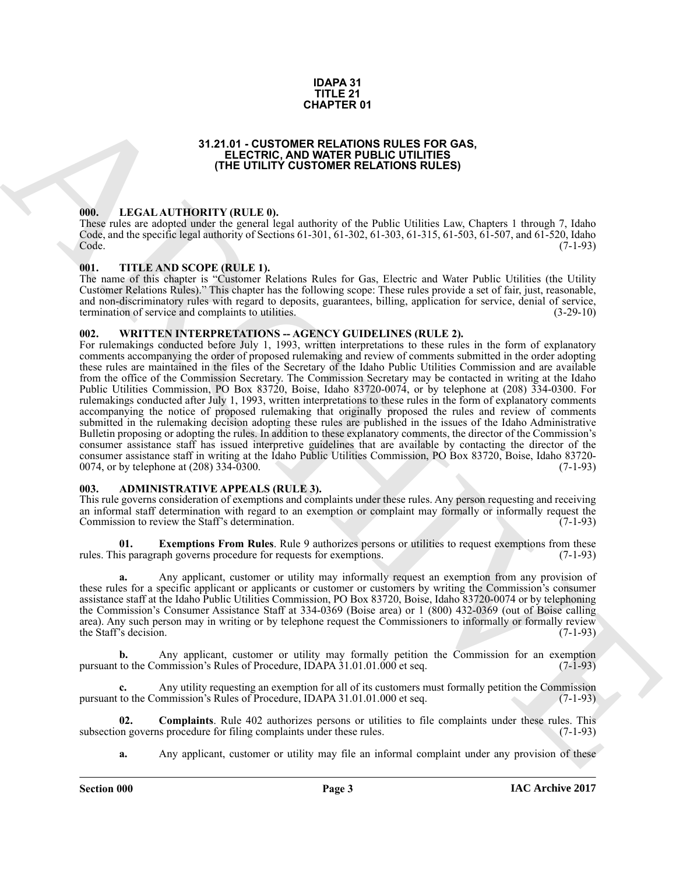#### **IDAPA 31 TITLE 21 CHAPTER 01**

# **31.21.01 - CUSTOMER RELATIONS RULES FOR GAS, ELECTRIC, AND WATER PUBLIC UTILITIES (THE UTILITY CUSTOMER RELATIONS RULES)**

#### <span id="page-2-1"></span><span id="page-2-0"></span>**000. LEGAL AUTHORITY (RULE 0).**

These rules are adopted under the general legal authority of the Public Utilities Law, Chapters 1 through 7, Idaho Code, and the specific legal authority of Sections 61-301, 61-302, 61-303, 61-315, 61-503, 61-507, and 61-520, Idaho Code. (7-1-93)

#### <span id="page-2-2"></span>**001. TITLE AND SCOPE (RULE 1).**

The name of this chapter is "Customer Relations Rules for Gas, Electric and Water Public Utilities (the Utility Customer Relations Rules)." This chapter has the following scope: These rules provide a set of fair, just, reasonable, and non-discriminatory rules with regard to deposits, guarantees, billing, application for service, denial of service, termination of service and complaints to utilities. (3-29-10)

#### <span id="page-2-3"></span>**002. WRITTEN INTERPRETATIONS -- AGENCY GUIDELINES (RULE 2).**

**51.21 (a) CHAPTER 01**<br>**CHAPTER 01**<br>**CHAPTER CONTINUES RELATIONS RULES POR GAS,<br><b>CHAPTER RELATIONS RULES POR GAS,**<br>**CHAPTER CHAPTER CONTINUES POR GAS,**<br>**CHAPTER CHAPTER CONTINUES POR GAS PROGRAMMENT CONTINUES POR CONTIN** For rulemakings conducted before July 1, 1993, written interpretations to these rules in the form of explanatory comments accompanying the order of proposed rulemaking and review of comments submitted in the order adopting these rules are maintained in the files of the Secretary of the Idaho Public Utilities Commission and are available from the office of the Commission Secretary. The Commission Secretary may be contacted in writing at the Idaho Public Utilities Commission, PO Box 83720, Boise, Idaho 83720-0074, or by telephone at (208) 334-0300. For rulemakings conducted after July 1, 1993, written interpretations to these rules in the form of explanatory comments accompanying the notice of proposed rulemaking that originally proposed the rules and review of comments submitted in the rulemaking decision adopting these rules are published in the issues of the Idaho Administrative Bulletin proposing or adopting the rules. In addition to these explanatory comments, the director of the Commission's consumer assistance staff has issued interpretive guidelines that are available by contacting the director of the consumer assistance staff in writing at the Idaho Public Utilities Commission, PO Box 83720, Boise, Idaho 83720- 0074, or by telephone at  $(208)$  334-0300.

# <span id="page-2-4"></span>**003. ADMINISTRATIVE APPEALS (RULE 3).**

This rule governs consideration of exemptions and complaints under these rules. Any person requesting and receiving an informal staff determination with regard to an exemption or complaint may formally or informally request the<br>Commission to review the Staff's determination. (7-1-93) Commission to review the Staff's determination.

**01. Exemptions From Rules**. Rule 9 authorizes persons or utilities to request exemptions from these is paragraph governs procedure for requests for exemptions. (7-1-93) rules. This paragraph governs procedure for requests for exemptions.

**a.** Any applicant, customer or utility may informally request an exemption from any provision of these rules for a specific applicant or applicants or customer or customers by writing the Commission's consumer assistance staff at the Idaho Public Utilities Commission, PO Box 83720, Boise, Idaho 83720-0074 or by telephoning the Commission's Consumer Assistance Staff at 334-0369 (Boise area) or 1 (800) 432-0369 (out of Boise calling area). Any such person may in writing or by telephone request the Commissioners to informally or formally review the Staff's decision.  $(7-1-93)$ 

**b.** Any applicant, customer or utility may formally petition the Commission for an exemption to the Commission's Rules of Procedure, IDAPA 31.01.01.000 et seq. (7-1-93) pursuant to the Commission's Rules of Procedure, IDAPA  $31.01.01.000$  et seq.

**c.** Any utility requesting an exemption for all of its customers must formally petition the Commission pursuant to the Commission's Rules of Procedure, IDAPA 31.01.01.000 et seq. (7-1-93)

**02. Complaints**. Rule 402 authorizes persons or utilities to file complaints under these rules. This subsection governs procedure for filing complaints under these rules. (7-1-93)

<span id="page-2-5"></span>**a.** Any applicant, customer or utility may file an informal complaint under any provision of these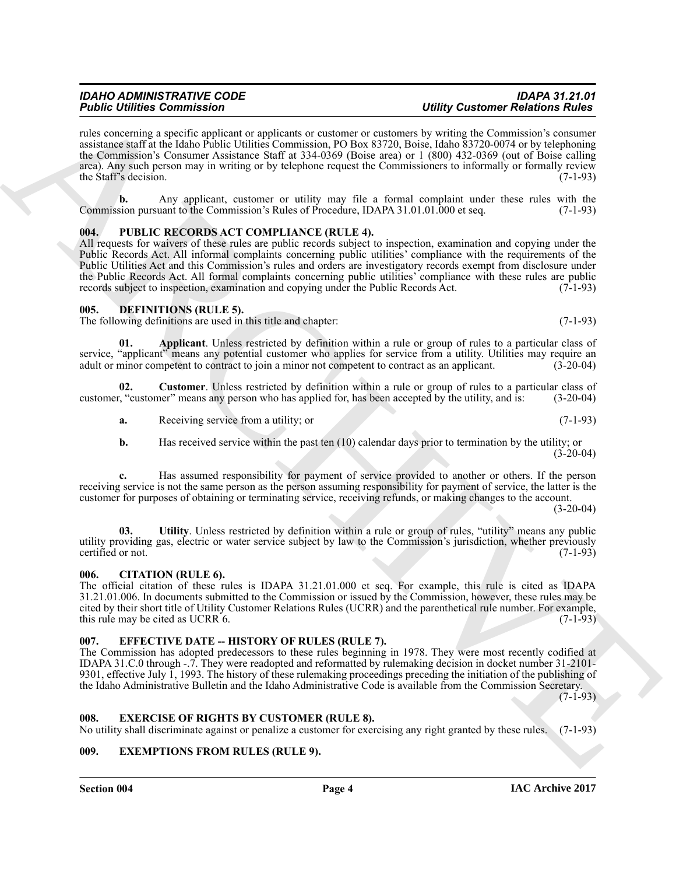rules concerning a specific applicant or applicants or customer or customers by writing the Commission's consumer assistance staff at the Idaho Public Utilities Commission, PO Box 83720, Boise, Idaho 83720-0074 or by telephoning the Commission's Consumer Assistance Staff at 334-0369 (Boise area) or 1 (800) 432-0369 (out of Boise calling area). Any such person may in writing or by telephone request the Commissioners to informally or formally review the Staff's decision.  $(7-1-93)$ 

**b.** Any applicant, customer or utility may file a formal complaint under these rules with the Commission pursuant to the Commission's Rules of Procedure, IDAPA 31.01.01.000 et seq. (7-1-93)

# <span id="page-3-0"></span>**004. PUBLIC RECORDS ACT COMPLIANCE (RULE 4).**

For the commute of the state of the state of the state of the state of the content Formula and the state of the state of the state of the state of the state of the state of the state of the state of the state of the state All requests for waivers of these rules are public records subject to inspection, examination and copying under the Public Records Act. All informal complaints concerning public utilities' compliance with the requirements of the Public Utilities Act and this Commission's rules and orders are investigatory records exempt from disclosure under the Public Records Act. All formal complaints concerning public utilities' compliance with these rules are public records subject to inspection, examination and copying under the Public Records Act. (7-1-93)

#### <span id="page-3-6"></span><span id="page-3-1"></span>**005. DEFINITIONS (RULE 5).**

The following definitions are used in this title and chapter: (7-1-93)

<span id="page-3-7"></span>**01. Applicant**. Unless restricted by definition within a rule or group of rules to a particular class of service, "applicant" means any potential customer who applies for service from a utility. Utilities may require an adult or minor competent to contract to join a minor not competent to contract as an applicant. (3-20-04) adult or minor competent to contract to join a minor not competent to contract as an applicant.

**02. Customer**. Unless restricted by definition within a rule or group of rules to a particular class of customer, "customer" means any person who has applied for, has been accepted by the utility, and is: (3-20-04)

<span id="page-3-8"></span>**a.** Receiving service from a utility; or (7-1-93)

**b.** Has received service within the past ten (10) calendar days prior to termination by the utility; or  $(3-20-04)$ 

**c.** Has assumed responsibility for payment of service provided to another or others. If the person receiving service is not the same person as the person assuming responsibility for payment of service, the latter is the customer for purposes of obtaining or terminating service, receiving refunds, or making changes to the account.  $(3-20-04)$ 

<span id="page-3-9"></span>**03. Utility**. Unless restricted by definition within a rule or group of rules, "utility" means any public utility providing gas, electric or water service subject by law to the Commission's jurisdiction, whether previously certified or not. (7-1-93)

#### <span id="page-3-2"></span>**006. CITATION (RULE 6).**

The official citation of these rules is IDAPA 31.21.01.000 et seq. For example, this rule is cited as IDAPA 31.21.01.006. In documents submitted to the Commission or issued by the Commission, however, these rules may be cited by their short title of Utility Customer Relations Rules (UCRR) and the parenthetical rule number. For example, this rule may be cited as UCRR 6. (7-1-93)

#### <span id="page-3-3"></span>**007. EFFECTIVE DATE -- HISTORY OF RULES (RULE 7).**

The Commission has adopted predecessors to these rules beginning in 1978. They were most recently codified at IDAPA 31.C.0 through -.7. They were readopted and reformatted by rulemaking decision in docket number 31-2101- 9301, effective July 1, 1993. The history of these rulemaking proceedings preceding the initiation of the publishing of the Idaho Administrative Bulletin and the Idaho Administrative Code is available from the Commission Secretary.

 $(7-1-93)$ 

#### <span id="page-3-11"></span><span id="page-3-4"></span>**008. EXERCISE OF RIGHTS BY CUSTOMER (RULE 8).**

No utility shall discriminate against or penalize a customer for exercising any right granted by these rules. (7-1-93)

# <span id="page-3-10"></span><span id="page-3-5"></span>**009. EXEMPTIONS FROM RULES (RULE 9).**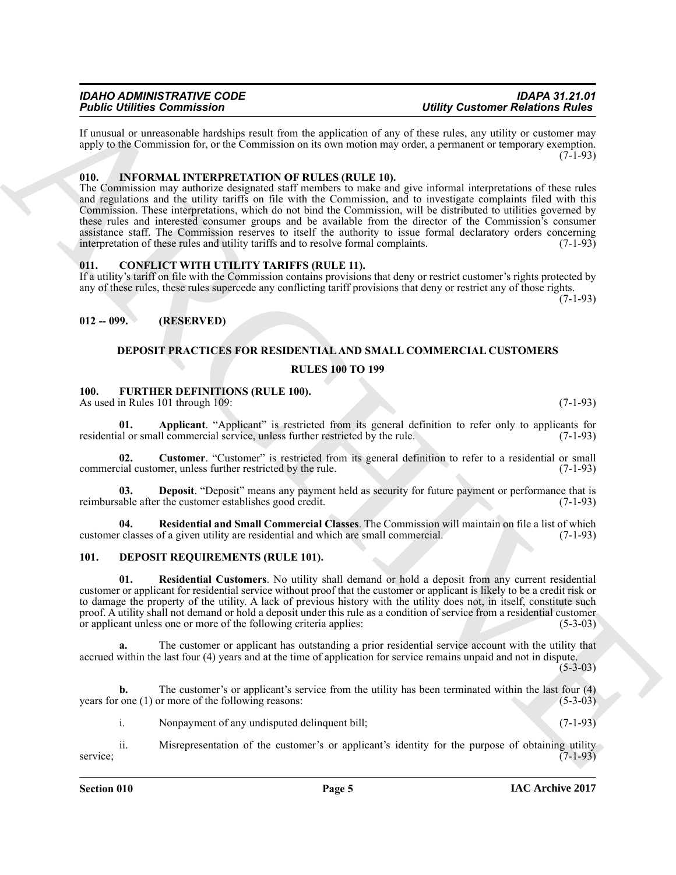If unusual or unreasonable hardships result from the application of any of these rules, any utility or customer may apply to the Commission for, or the Commission on its own motion may order, a permanent or temporary exemption.  $(7-1-93)$ 

# <span id="page-4-14"></span><span id="page-4-0"></span>**010. INFORMAL INTERPRETATION OF RULES (RULE 10).**

**Finding Commutes on the system and computer and commute the system of the system of the system of the system of the system of the system of the system of the system of the system of the system of the system of the system** The Commission may authorize designated staff members to make and give informal interpretations of these rules and regulations and the utility tariffs on file with the Commission, and to investigate complaints filed with this Commission. These interpretations, which do not bind the Commission, will be distributed to utilities governed by these rules and interested consumer groups and be available from the director of the Commission's consumer assistance staff. The Commission reserves to itself the authority to issue formal declaratory orders concerning<br>interpretation of these rules and utility tariffs and to resolve formal complaints. (7-1-93) interpretation of these rules and utility tariffs and to resolve formal complaints.

# <span id="page-4-5"></span><span id="page-4-1"></span>**011. CONFLICT WITH UTILITY TARIFFS (RULE 11).**

If a utility's tariff on file with the Commission contains provisions that deny or restrict customer's rights protected by any of these rules, these rules supercede any conflicting tariff provisions that deny or restrict any of those rights.

 $(7-1-93)$ 

# <span id="page-4-2"></span>**012 -- 099. (RESERVED)**

# <span id="page-4-10"></span><span id="page-4-9"></span><span id="page-4-6"></span>**DEPOSIT PRACTICES FOR RESIDENTIAL AND SMALL COMMERCIAL CUSTOMERS**

#### **RULES 100 TO 199**

#### <span id="page-4-3"></span>**100. FURTHER DEFINITIONS (RULE 100).**

As used in Rules 101 through 109: (7-1-93)

**01. Applicant**. "Applicant" is restricted from its general definition to refer only to applicants for al or small commercial service, unless further restricted by the rule. (7-1-93) residential or small commercial service, unless further restricted by the rule.

<span id="page-4-11"></span>**02.** Customer. "Customer" is restricted from its general definition to refer to a residential or small cial customer, unless further restricted by the rule. (7-1-93) commercial customer, unless further restricted by the rule.

<span id="page-4-12"></span>**03. Deposit**. "Deposit" means any payment held as security for future payment or performance that is able after the customer establishes good credit. (7-1-93) reimbursable after the customer establishes good credit.

<span id="page-4-13"></span>**04. Residential and Small Commercial Classes**. The Commission will maintain on file a list of which customer classes of a given utility are residential and which are small commercial.

# <span id="page-4-7"></span><span id="page-4-4"></span>**101. DEPOSIT REQUIREMENTS (RULE 101).**

<span id="page-4-8"></span>**01. Residential Customers**. No utility shall demand or hold a deposit from any current residential customer or applicant for residential service without proof that the customer or applicant is likely to be a credit risk or to damage the property of the utility. A lack of previous history with the utility does not, in itself, constitute such proof. A utility shall not demand or hold a deposit under this rule as a condition of service from a residential customer or applicant unless one or more of the following criteria applies: (5-3-03)

**a.** The customer or applicant has outstanding a prior residential service account with the utility that accrued within the last four (4) years and at the time of application for service remains unpaid and not in dispute.

 $(5-3-03)$ 

**b.** The customer's or applicant's service from the utility has been terminated within the last four (4) one (1) or more of the following reasons: years for one  $(1)$  or more of the following reasons:

i. Nonpayment of any undisputed delinquent bill; (7-1-93)

ii. Misrepresentation of the customer's or applicant's identity for the purpose of obtaining utility  $(7-1-93)$ service; (7-1-93)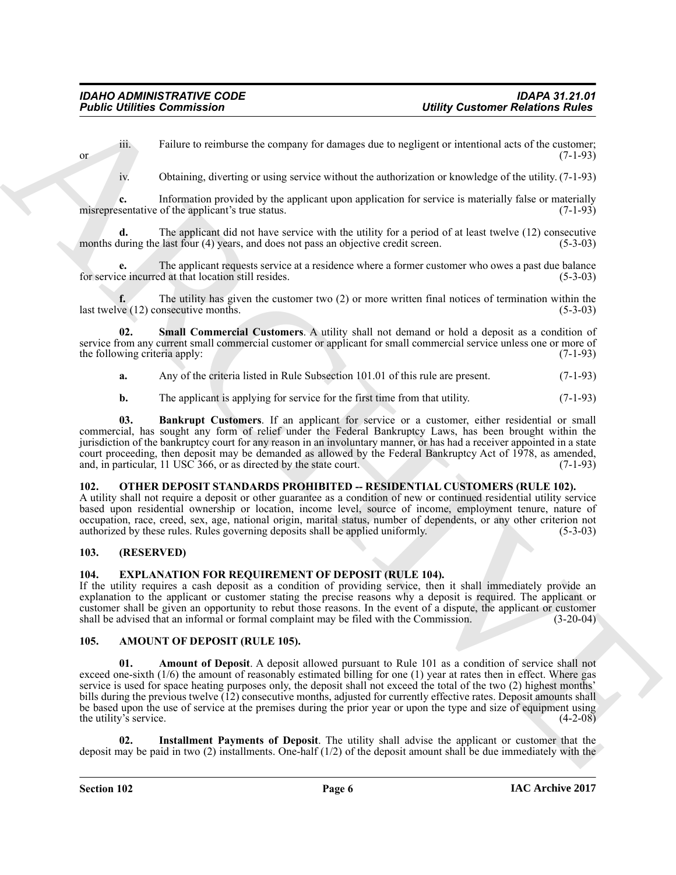iii. Failure to reimburse the company for damages due to negligent or intentional acts of the customer; or  $(7-1-93)$ 

iv. Obtaining, diverting or using service without the authorization or knowledge of the utility. (7-1-93)

**c.** Information provided by the applicant upon application for service is materially false or materially misrepresentative of the applicant's true status.  $(7-1-93)$ 

The applicant did not have service with the utility for a period of at least twelve (12) consecutive months during the last four (4) years, and does not pass an objective credit screen. (5-3-03)

**e.** The applicant requests service at a residence where a former customer who owes a past due balance ce incurred at that location still resides. (5-3-03) for service incurred at that location still resides.

**f.** The utility has given the customer two (2) or more written final notices of termination within the ve (12) consecutive months. (5-3-03) last twelve  $(12)$  consecutive months.

**02. Small Commercial Customers**. A utility shall not demand or hold a deposit as a condition of service from any current small commercial customer or applicant for small commercial service unless one or more of the following criteria apply: (7-1-93) (3-1-93)

<span id="page-5-8"></span>**a.** Any of the criteria listed in Rule Subsection 101.01 of this rule are present. (7-1-93)

<span id="page-5-7"></span>**b.** The applicant is applying for service for the first time from that utility. (7-1-93)

**03. Bankrupt Customers**. If an applicant for service or a customer, either residential or small commercial, has sought any form of relief under the Federal Bankruptcy Laws, has been brought within the jurisdiction of the bankruptcy court for any reason in an involuntary manner, or has had a receiver appointed in a state court proceeding, then deposit may be demanded as allowed by the Federal Bankruptcy Act of 1978, as amended, and, in particular, 11 USC 366, or as directed by the state court. (7-1-93)

# <span id="page-5-10"></span><span id="page-5-0"></span>**102. OTHER DEPOSIT STANDARDS PROHIBITED -- RESIDENTIAL CUSTOMERS (RULE 102).**

A utility shall not require a deposit or other guarantee as a condition of new or continued residential utility service based upon residential ownership or location, income level, source of income, employment tenure, nature of occupation, race, creed, sex, age, national origin, marital status, number of dependents, or any other criterion not authorized by these rules. Rules governing deposits shall be applied uniformly. (5-3-03)

# <span id="page-5-1"></span>**103. (RESERVED)**

# <span id="page-5-9"></span><span id="page-5-2"></span>**104. EXPLANATION FOR REQUIREMENT OF DEPOSIT (RULE 104).**

If the utility requires a cash deposit as a condition of providing service, then it shall immediately provide an explanation to the applicant or customer stating the precise reasons why a deposit is required. The applicant or customer shall be given an opportunity to rebut those reasons. In the event of a dispute, the applicant or customer shall be advised that an informal or formal complaint may be filed with the Commission. (3-20-04) shall be advised that an informal or formal complaint may be filed with the Commission.

#### <span id="page-5-5"></span><span id="page-5-4"></span><span id="page-5-3"></span>**105. AMOUNT OF DEPOSIT (RULE 105).**

**Figure 12 Communisties** (**Labrary Communisties** (**Labrary Communisties** (**Labrary Communisties** (**Labrary Communisties** (**Labrary Communisties** (**Labrary Communisties** (**Labrary Communisties** (**Labrary Communisties** (**La 01. Amount of Deposit**. A deposit allowed pursuant to Rule 101 as a condition of service shall not exceed one-sixth (1/6) the amount of reasonably estimated billing for one (1) year at rates then in effect. Where gas service is used for space heating purposes only, the deposit shall not exceed the total of the two (2) highest months' bills during the previous twelve (12) consecutive months, adjusted for currently effective rates. Deposit amounts shall be based upon the use of service at the premises during the prior year or upon the type and size of equipment using the utility's service. (4-2-08)

<span id="page-5-6"></span>**02. Installment Payments of Deposit**. The utility shall advise the applicant or customer that the deposit may be paid in two (2) installments. One-half  $(1/2)$  of the deposit amount shall be due immediately with the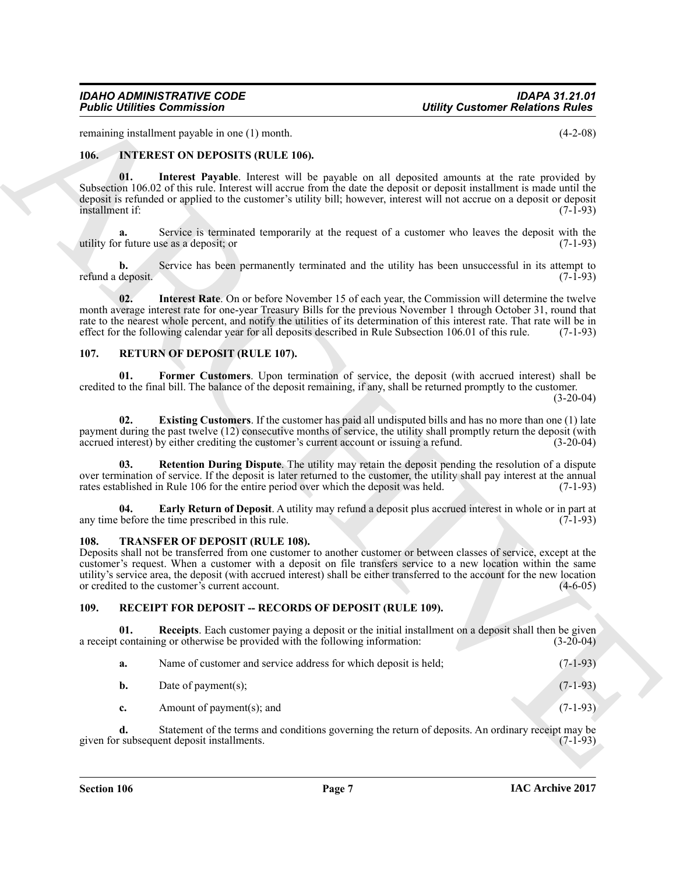remaining installment payable in one (1) month. (4-2-08)

# <span id="page-6-4"></span><span id="page-6-0"></span>**106. INTEREST ON DEPOSITS (RULE 106).**

<span id="page-6-5"></span>**01. Interest Payable**. Interest will be payable on all deposited amounts at the rate provided by Subsection 106.02 of this rule. Interest will accrue from the date the deposit or deposit installment is made until the deposit is refunded or applied to the customer's utility bill; however, interest will not accrue on a deposit or deposit installment if: (7-1-93)

Service is terminated temporarily at the request of a customer who leaves the deposit with the se as a deposit; or  $(7-1-93)$ utility for future use as a deposit; or (7-1-93)

<span id="page-6-6"></span>**b.** Service has been permanently terminated and the utility has been unsuccessful in its attempt to deposit. (7-1-93) refund a deposit.

**Folding Commission**<br>
Virtue, 1991 Recent the contribution of the specific and discussed in the specific and the specific and the specific and the specific and the specific and the specific and the specific and the specif **02. Interest Rate**. On or before November 15 of each year, the Commission will determine the twelve month average interest rate for one-year Treasury Bills for the previous November 1 through October 31, round that rate to the nearest whole percent, and notify the utilities of its determination of this interest rate. That rate will be in effect for the following calendar year for all deposits described in Rule Subsection 106.01 of this rule. (7-1-93)

# <span id="page-6-9"></span><span id="page-6-1"></span>**107. RETURN OF DEPOSIT (RULE 107).**

<span id="page-6-12"></span>**01. Former Customers**. Upon termination of service, the deposit (with accrued interest) shall be credited to the final bill. The balance of the deposit remaining, if any, shall be returned promptly to the customer.

 $(3-20-04)$ 

<span id="page-6-11"></span>**02. Existing Customers**. If the customer has paid all undisputed bills and has no more than one (1) late payment during the past twelve (12) consecutive months of service, the utility shall promptly return the deposit (with accrued interest) by either crediting the customer's current account or issuing a refund. (3-20-04) accrued interest) by either crediting the customer's current account or issuing a refund.

<span id="page-6-13"></span>**Retention During Dispute**. The utility may retain the deposit pending the resolution of a dispute over termination of service. If the deposit is later returned to the customer, the utility shall pay interest at the annual rates established in Rule 106 for the entire period over which the deposit was held. (7-1-93) rates established in Rule 106 for the entire period over which the deposit was held.

<span id="page-6-10"></span>**04. Early Return of Deposit**. A utility may refund a deposit plus accrued interest in whole or in part at before the time prescribed in this rule. (7-1-93) any time before the time prescribed in this rule.

#### <span id="page-6-14"></span><span id="page-6-2"></span>**108. TRANSFER OF DEPOSIT (RULE 108).**

Deposits shall not be transferred from one customer to another customer or between classes of service, except at the customer's request. When a customer with a deposit on file transfers service to a new location within the same utility's service area, the deposit (with accrued interest) shall be either transferred to the account for the new location or credited to the customer's current account. (4-6-05)

# <span id="page-6-7"></span><span id="page-6-3"></span>**109. RECEIPT FOR DEPOSIT -- RECORDS OF DEPOSIT (RULE 109).**

**01.** Receipts. Each customer paying a deposit or the initial installment on a deposit shall then be given containing or otherwise be provided with the following information: (3-20-04) a receipt containing or otherwise be provided with the following information:

<span id="page-6-8"></span>

| а. | Name of customer and service address for which deposit is held: | $(7-1-93)$ |
|----|-----------------------------------------------------------------|------------|
|----|-----------------------------------------------------------------|------------|

- **b.** Date of payment(s);  $(7-1-93)$ 
	- **c.** Amount of payment(s); and (7-1-93)

**d.** Statement of the terms and conditions governing the return of deposits. An ordinary receipt may be subsequent deposit installments. (7-1-93) given for subsequent deposit installments.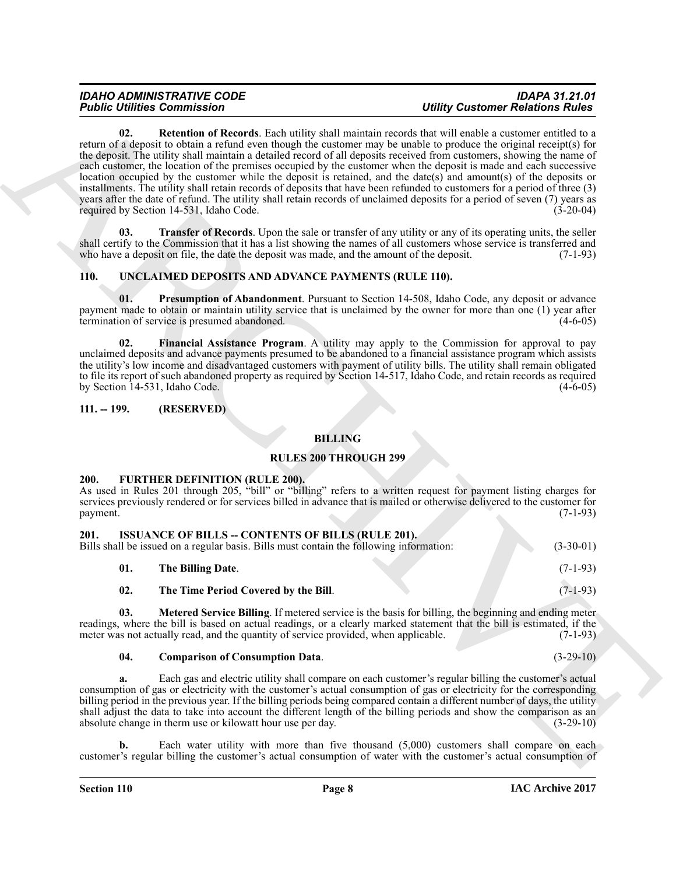**Folding Commutes Computer and Society and Society and Society and Society and Society and Society and Society and Society and Society and Society and Society and Society and Society and Society and Society and Society an 02. Retention of Records**. Each utility shall maintain records that will enable a customer entitled to a return of a deposit to obtain a refund even though the customer may be unable to produce the original receipt(s) for the deposit. The utility shall maintain a detailed record of all deposits received from customers, showing the name of each customer, the location of the premises occupied by the customer when the deposit is made and each successive location occupied by the customer while the deposit is retained, and the date(s) and amount(s) of the deposits or installments. The utility shall retain records of deposits that have been refunded to customers for a period of three (3) years after the date of refund. The utility shall retain records of unclaimed deposits for a period of seven (7) years as required by Section 14-531, Idaho Code. (3-20-04)

<span id="page-7-11"></span><span id="page-7-10"></span>**Transfer of Records**. Upon the sale or transfer of any utility or any of its operating units, the seller shall certify to the Commission that it has a list showing the names of all customers whose service is transferred and who have a deposit on file, the date the deposit was made, and the amount of the deposit. (7-1-93) who have a deposit on file, the date the deposit was made, and the amount of the deposit.

# <span id="page-7-12"></span><span id="page-7-0"></span>**110. UNCLAIMED DEPOSITS AND ADVANCE PAYMENTS (RULE 110).**

<span id="page-7-14"></span>**01. Presumption of Abandonment**. Pursuant to Section 14-508, Idaho Code, any deposit or advance payment made to obtain or maintain utility service that is unclaimed by the owner for more than one (1) year after termination of service is presumed abandoned. termination of service is presumed abandoned.

<span id="page-7-13"></span>**02. Financial Assistance Program**. A utility may apply to the Commission for approval to pay unclaimed deposits and advance payments presumed to be abandoned to a financial assistance program which assists the utility's low income and disadvantaged customers with payment of utility bills. The utility shall remain obligated to file its report of such abandoned property as required by Section 14-517, Idaho Code, and retain records as required<br>by Section 14-531, Idaho Code, (4-6-05) by Section 14-531, Idaho Code.

# <span id="page-7-1"></span>**111. -- 199. (RESERVED)**

# **BILLING**

# **RULES 200 THROUGH 299**

#### <span id="page-7-4"></span><span id="page-7-2"></span>**200. FURTHER DEFINITION (RULE 200).**

As used in Rules 201 through 205, "bill" or "billing" refers to a written request for payment listing charges for services previously rendered or for services billed in advance that is mailed or otherwise delivered to the customer for payment. payment. (7-1-93)

<span id="page-7-8"></span><span id="page-7-5"></span><span id="page-7-3"></span>

| 201. | <b>ISSUANCE OF BILLS -- CONTENTS OF BILLS (RULE 201).</b><br>Bills shall be issued on a regular basis. Bills must contain the following information: | $(3-30-01)$ |
|------|------------------------------------------------------------------------------------------------------------------------------------------------------|-------------|
| 01.  | The Billing Date.                                                                                                                                    | $(7-1-93)$  |
| 02.  | The Time Period Covered by the Bill.                                                                                                                 | $(7-1-93)$  |

<span id="page-7-9"></span>**03. Metered Service Billing**. If metered service is the basis for billing, the beginning and ending meter readings, where the bill is based on actual readings, or a clearly marked statement that the bill is estimated, if the meter was not actually read, and the quantity of service provided, when applicable. (7-1-93) meter was not actually read, and the quantity of service provided, when applicable.

#### <span id="page-7-7"></span><span id="page-7-6"></span>**04. Comparison of Consumption Data**. (3-29-10)

**a.** Each gas and electric utility shall compare on each customer's regular billing the customer's actual consumption of gas or electricity with the customer's actual consumption of gas or electricity for the corresponding billing period in the previous year. If the billing periods being compared contain a different number of days, the utility shall adjust the data to take into account the different length of the billing periods and show the comparison as an absolute change in therm use or kilowatt hour use per day. (3-29-10) absolute change in therm use or kilowatt hour use per day.

Each water utility with more than five thousand (5,000) customers shall compare on each customer's regular billing the customer's actual consumption of water with the customer's actual consumption of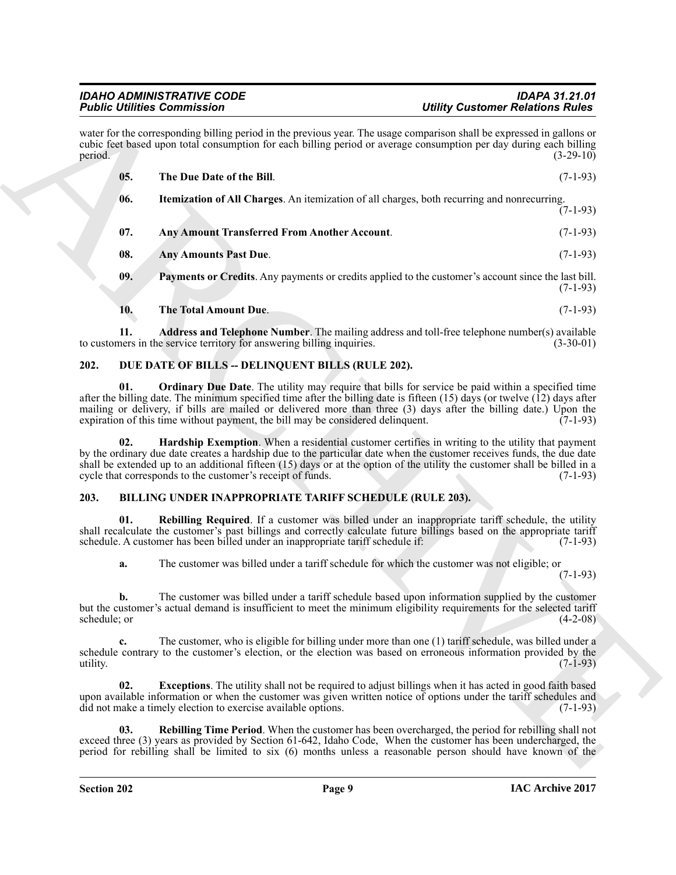<span id="page-8-14"></span><span id="page-8-12"></span>

| water for the corresponding billing period in the previous year. The usage comparison shall be expressed in gallons or<br>cubic feet based upon total consumption for each billing period or average consumption per day during each billing<br>period.<br>05.<br>The Due Date of the Bill.<br><b>Itemization of All Charges.</b> An itemization of all charges, both recurring and nonrecurring.<br>06.<br>07.<br><b>Any Amount Transferred From Another Account.</b><br>08.<br><b>Any Amounts Past Due.</b><br>09.<br><b>Payments or Credits</b> . Any payments or credits applied to the customer's account since the last bill. | $(3-29-10)$<br>$(7-1-93)$<br>$(7-1-93)$<br>$(7-1-93)$<br>$(7-1-93)$ |
|-------------------------------------------------------------------------------------------------------------------------------------------------------------------------------------------------------------------------------------------------------------------------------------------------------------------------------------------------------------------------------------------------------------------------------------------------------------------------------------------------------------------------------------------------------------------------------------------------------------------------------------|---------------------------------------------------------------------|
|                                                                                                                                                                                                                                                                                                                                                                                                                                                                                                                                                                                                                                     |                                                                     |
|                                                                                                                                                                                                                                                                                                                                                                                                                                                                                                                                                                                                                                     |                                                                     |
|                                                                                                                                                                                                                                                                                                                                                                                                                                                                                                                                                                                                                                     |                                                                     |
|                                                                                                                                                                                                                                                                                                                                                                                                                                                                                                                                                                                                                                     |                                                                     |
|                                                                                                                                                                                                                                                                                                                                                                                                                                                                                                                                                                                                                                     |                                                                     |
|                                                                                                                                                                                                                                                                                                                                                                                                                                                                                                                                                                                                                                     | $(7-1-93)$                                                          |
| The Total Amount Due.<br>10.                                                                                                                                                                                                                                                                                                                                                                                                                                                                                                                                                                                                        | $(7-1-93)$                                                          |
| 11.<br><b>Address and Telephone Number</b> . The mailing address and toll-free telephone number(s) available<br>to customers in the service territory for answering billing inquiries.                                                                                                                                                                                                                                                                                                                                                                                                                                              | $(3-30-01)$                                                         |
| 202.<br>DUE DATE OF BILLS - DELINQUENT BILLS (RULE 202).                                                                                                                                                                                                                                                                                                                                                                                                                                                                                                                                                                            |                                                                     |
| 01.<br><b>Ordinary Due Date.</b> The utility may require that bills for service be paid within a specified time<br>after the billing date. The minimum specified time after the billing date is fifteen $(15)$ days (or twelve $(12)$ days after<br>mailing or delivery, if bills are mailed or delivered more than three (3) days after the billing date.) Upon the<br>expiration of this time without payment, the bill may be considered delinquent.                                                                                                                                                                             | $(7-1-93)$                                                          |
| Hardship Exemption. When a residential customer certifies in writing to the utility that payment<br>02.<br>by the ordinary due date creates a hardship due to the particular date when the customer receives funds, the due date<br>shall be extended up to an additional fifteen (15) days or at the option of the utility the customer shall be billed in a<br>cycle that corresponds to the customer's receipt of funds.                                                                                                                                                                                                         | $(7-1-93)$                                                          |
| BILLING UNDER INAPPROPRIATE TARIFF SCHEDULE (RULE 203).<br>203.                                                                                                                                                                                                                                                                                                                                                                                                                                                                                                                                                                     |                                                                     |
| Rebilling Required. If a customer was billed under an inappropriate tariff schedule, the utility<br>01.<br>shall recalculate the customer's past billings and correctly calculate future billings based on the appropriate tariff<br>schedule. A customer has been billed under an inappropriate tariff schedule if:                                                                                                                                                                                                                                                                                                                | $(7-1-93)$                                                          |
| The customer was billed under a tariff schedule for which the customer was not eligible; or<br>a.                                                                                                                                                                                                                                                                                                                                                                                                                                                                                                                                   | $(7-1-93)$                                                          |
| The customer was billed under a tariff schedule based upon information supplied by the customer<br>but the customer's actual demand is insufficient to meet the minimum eligibility requirements for the selected tariff<br>schedule; or                                                                                                                                                                                                                                                                                                                                                                                            | $(4-2-08)$                                                          |
| The customer, who is eligible for billing under more than one (1) tariff schedule, was billed under a<br>$c_{\cdot}$<br>schedule contrary to the customer's election, or the election was based on erroneous information provided by the<br>utility.                                                                                                                                                                                                                                                                                                                                                                                | $(7-1-93)$                                                          |
| 02.<br><b>Exceptions</b> . The utility shall not be required to adjust billings when it has acted in good faith based<br>upon available information or when the customer was given written notice of options under the tariff schedules and<br>did not make a timely election to exercise available options.                                                                                                                                                                                                                                                                                                                        | $(7-1-93)$                                                          |
| Rebilling Time Period. When the customer has been overcharged, the period for rebilling shall not<br>03.<br>exceed three (3) years as provided by Section 61-642, Idaho Code, When the customer has been undercharged, the<br>period for rebilling shall be limited to six $(6)$ months unless a reasonable person should have known of the                                                                                                                                                                                                                                                                                         |                                                                     |

# <span id="page-8-15"></span><span id="page-8-13"></span><span id="page-8-11"></span><span id="page-8-10"></span><span id="page-8-9"></span><span id="page-8-8"></span><span id="page-8-6"></span><span id="page-8-0"></span>**202. DUE DATE OF BILLS -- DELINQUENT BILLS (RULE 202).**

# <span id="page-8-7"></span><span id="page-8-5"></span><span id="page-8-4"></span><span id="page-8-3"></span><span id="page-8-2"></span><span id="page-8-1"></span>**203. BILLING UNDER INAPPROPRIATE TARIFF SCHEDULE (RULE 203).**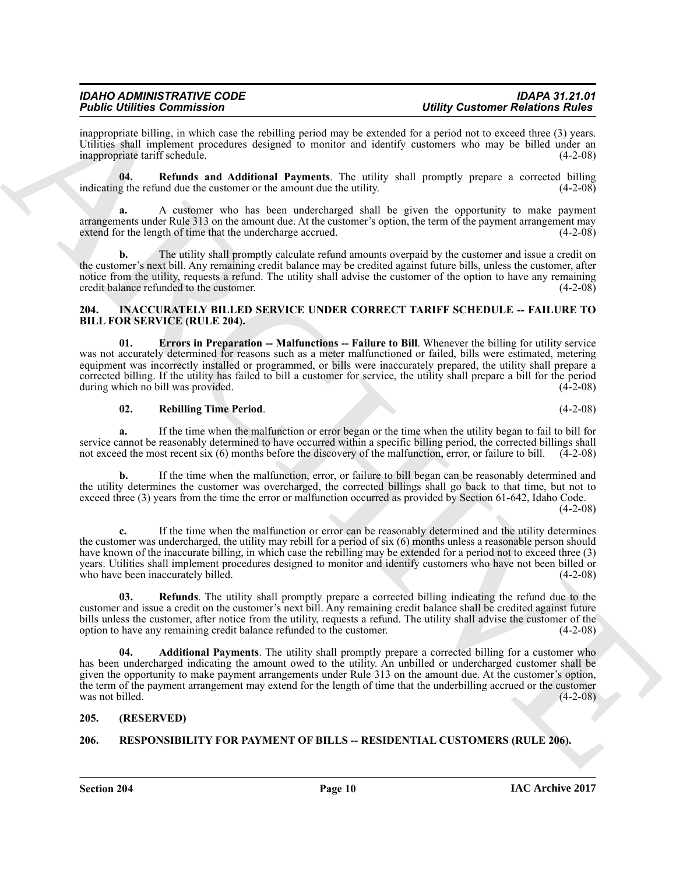inappropriate billing, in which case the rebilling period may be extended for a period not to exceed three (3) years. Utilities shall implement procedures designed to monitor and identify customers who may be billed under an inappropriate tariff schedule. (4-2-08) inappropriate tariff schedule.

<span id="page-9-3"></span>**04. Refunds and Additional Payments**. The utility shall promptly prepare a corrected billing g the refund due the customer or the amount due the utility. (4-2-08) indicating the refund due the customer or the amount due the utility.

**a.** A customer who has been undercharged shall be given the opportunity to make payment arrangements under Rule 313 on the amount due. At the customer's option, the term of the payment arrangement may extend for the length of time that the undercharge accrued. (4-2-08)

The utility shall promptly calculate refund amounts overpaid by the customer and issue a credit on the customer's next bill. Any remaining credit balance may be credited against future bills, unless the customer, after notice from the utility, requests a refund. The utility shall advise the customer of the option to have any remaining credit balance refunded to the customer. (4-2-08)

#### <span id="page-9-4"></span><span id="page-9-0"></span>**204. INACCURATELY BILLED SERVICE UNDER CORRECT TARIFF SCHEDULE -- FAILURE TO BILL FOR SERVICE (RULE 204).**

<span id="page-9-6"></span>**01.** Errors in Preparation -- Malfunctions -- Failure to Bill. Whenever the billing for utility service was not accurately determined for reasons such as a meter malfunctioned or failed, bills were estimated, metering equipment was incorrectly installed or programmed, or bills were inaccurately prepared, the utility shall prepare a corrected billing. If the utility has failed to bill a customer for service, the utility shall prepare a bill for the period during which no bill was provided.

# <span id="page-9-7"></span>**02. Rebilling Time Period**. (4-2-08)

**a.** If the time when the malfunction or error began or the time when the utility began to fail to bill for service cannot be reasonably determined to have occurred within a specific billing period, the corrected billings shall not exceed the most recent six (6) months before the discovery of the malfunction, error, or failure to bill. (4-2-08)

**b.** If the time when the malfunction, error, or failure to bill began can be reasonably determined and the utility determines the customer was overcharged, the corrected billings shall go back to that time, but not to exceed three (3) years from the time the error or malfunction occurred as provided by Section 61-642, Idaho Code.  $(4-2-08)$ 

Finding Engines Consentration<br>
any consent is the stationary of the stationary and the stationary and the stationary and the stationary and the stationary of the stationary of the stationary of the stationary of the stati **c.** If the time when the malfunction or error can be reasonably determined and the utility determines the customer was undercharged, the utility may rebill for a period of six (6) months unless a reasonable person should have known of the inaccurate billing, in which case the rebilling may be extended for a period not to exceed three (3) years. Utilities shall implement procedures designed to monitor and identify customers who have not been billed or<br>who have been inaccurately billed. (4-2-08) who have been inaccurately billed.

<span id="page-9-8"></span>**03. Refunds**. The utility shall promptly prepare a corrected billing indicating the refund due to the customer and issue a credit on the customer's next bill. Any remaining credit balance shall be credited against future bills unless the customer, after notice from the utility, requests a refund. The utility shall advise the customer of the option to have any remaining credit balance refunded to the customer. (4-2-08) option to have any remaining credit balance refunded to the customer.

<span id="page-9-5"></span>**04. Additional Payments**. The utility shall promptly prepare a corrected billing for a customer who has been undercharged indicating the amount owed to the utility. An unbilled or undercharged customer shall be given the opportunity to make payment arrangements under Rule 313 on the amount due. At the customer's option, the term of the payment arrangement may extend for the length of time that the underbilling accrued or the customer was not billed.  $(4-2-08)$ 

# <span id="page-9-1"></span>**205. (RESERVED)**

# <span id="page-9-9"></span><span id="page-9-2"></span>**206. RESPONSIBILITY FOR PAYMENT OF BILLS -- RESIDENTIAL CUSTOMERS (RULE 206).**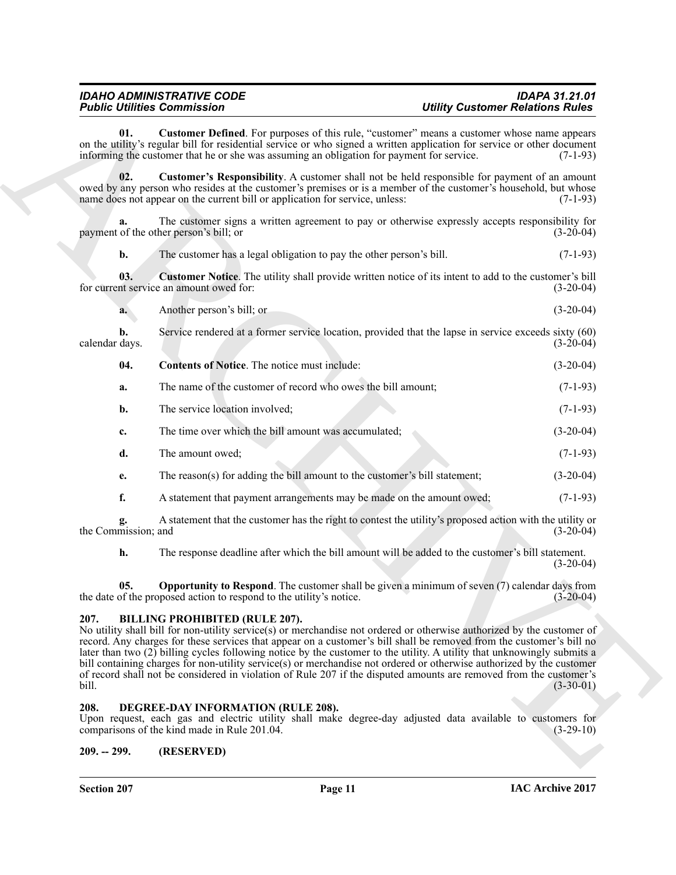<span id="page-10-5"></span>**01. Customer Defined**. For purposes of this rule, "customer" means a customer whose name appears on the utility's regular bill for residential service or who signed a written application for service or other document informing the customer that he or she was assuming an obligation for payment for service. (7-1-93) informing the customer that he or she was assuming an obligation for payment for service.

<span id="page-10-7"></span>**02. Customer's Responsibility**. A customer shall not be held responsible for payment of an amount owed by any person who resides at the customer's premises or is a member of the customer's household, but whose name does not appear on the current bill or application for service, unless: (7-1-93) name does not appear on the current bill or application for service, unless:

**a.** The customer signs a written agreement to pay or otherwise expressly accepts responsibility for payment of the other person's bill; or (3-20-04)

<span id="page-10-6"></span>**b.** The customer has a legal obligation to pay the other person's bill. (7-1-93)

**03. Customer Notice**. The utility shall provide written notice of its intent to add to the customer's bill for current service an amount owed for: (3-20-04)

**a.** Another person's bill; or (3-20-04)

**b.** Service rendered at a former service location, provided that the lapse in service exceeds sixty (60) days. (3-20-04) calendar days.

<span id="page-10-4"></span>

| -04. | <b>Contents of Notice.</b> The notice must include:          | $(3-20-04)$ |
|------|--------------------------------------------------------------|-------------|
| а.   | The name of the customer of record who owes the bill amount; | $(7-1-93)$  |
| b.   | The service location involved;                               | $(7-1-93)$  |
|      |                                                              |             |

**c.** The time over which the bill amount was accumulated; (3-20-04)

- **d.** The amount owed; (7-1-93)
- **e.** The reason(s) for adding the bill amount to the customer's bill statement; (3-20-04)
- **f.** A statement that payment arrangements may be made on the amount owed;  $(7-1-93)$

**g.** A statement that the customer has the right to contest the utility's proposed action with the utility or mission: and (3-20-04) the Commission; and

<span id="page-10-8"></span>**h.** The response deadline after which the bill amount will be added to the customer's bill statement. (3-20-04)

**05.** Opportunity to Respond. The customer shall be given a minimum of seven (7) calendar days from the date of the proposed action to respond to the utility's notice. (3-20-04)

# <span id="page-10-0"></span>**207. BILLING PROHIBITED (RULE 207).**

**Folding Commute Solve The Comparison** of the state of the comparison of the comparison of the comparison of the comparison of the comparison of the comparison of the comparison of the comparison of the comparison of the No utility shall bill for non-utility service(s) or merchandise not ordered or otherwise authorized by the customer of record. Any charges for these services that appear on a customer's bill shall be removed from the customer's bill no later than two (2) billing cycles following notice by the customer to the utility. A utility that unknowingly submits a bill containing charges for non-utility service(s) or merchandise not ordered or otherwise authorized by the customer of record shall not be considered in violation of Rule 207 if the disputed amounts are removed from the customer's bill. (3-30-01)

# <span id="page-10-3"></span><span id="page-10-1"></span>**208. DEGREE-DAY INFORMATION (RULE 208).**

Upon request, each gas and electric utility shall make degree-day adjusted data available to customers for comparisons of the kind made in Rule 201.04. (3-29-10) comparisons of the kind made in Rule 201.04.

# <span id="page-10-2"></span>**209. -- 299. (RESERVED)**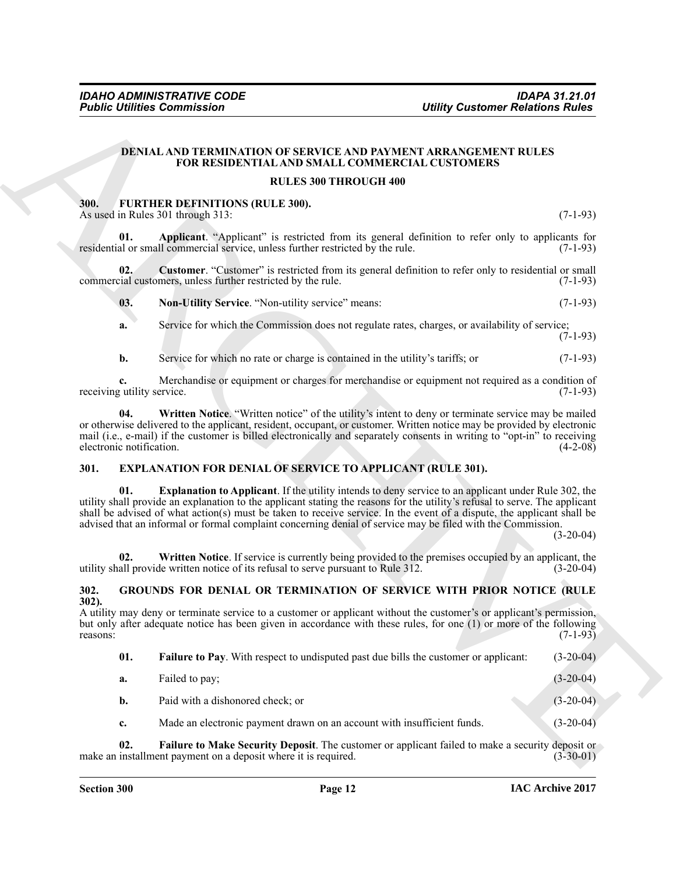#### <span id="page-11-3"></span>**DENIAL AND TERMINATION OF SERVICE AND PAYMENT ARRANGEMENT RULES FOR RESIDENTIAL AND SMALL COMMERCIAL CUSTOMERS**

# **RULES 300 THROUGH 400**

#### <span id="page-11-8"></span><span id="page-11-7"></span><span id="page-11-0"></span>**300. FURTHER DEFINITIONS (RULE 300).** As used in Rules 301 through 313: (7-1-93)

<span id="page-11-10"></span><span id="page-11-9"></span>

| 03. | <b>Non-Utility Service.</b> "Non-utility service" means: | $(7-1-93)$ |
|-----|----------------------------------------------------------|------------|
|-----|----------------------------------------------------------|------------|

# <span id="page-11-11"></span><span id="page-11-5"></span><span id="page-11-4"></span><span id="page-11-1"></span>**301. EXPLANATION FOR DENIAL OF SERVICE TO APPLICANT (RULE 301).**

#### <span id="page-11-14"></span><span id="page-11-13"></span><span id="page-11-12"></span><span id="page-11-6"></span><span id="page-11-2"></span>**302. GROUNDS FOR DENIAL OR TERMINATION OF SERVICE WITH PRIOR NOTICE (RULE 302).**

|                                  | <b>Public Utilities Commission</b>                                                                                                                                                                                                                                                                                                                                                                                                                                                   | <b>Utility Customer Relations Rules</b> |
|----------------------------------|--------------------------------------------------------------------------------------------------------------------------------------------------------------------------------------------------------------------------------------------------------------------------------------------------------------------------------------------------------------------------------------------------------------------------------------------------------------------------------------|-----------------------------------------|
|                                  | <b>DENIAL AND TERMINATION OF SERVICE AND PAYMENT ARRANGEMENT RULES</b><br>FOR RESIDENTIAL AND SMALL COMMERCIAL CUSTOMERS                                                                                                                                                                                                                                                                                                                                                             |                                         |
|                                  | <b>RULES 300 THROUGH 400</b>                                                                                                                                                                                                                                                                                                                                                                                                                                                         |                                         |
| 300.                             | FURTHER DEFINITIONS (RULE 300).<br>As used in Rules 301 through 313:                                                                                                                                                                                                                                                                                                                                                                                                                 | $(7-1-93)$                              |
| 01.                              | Applicant. "Applicant" is restricted from its general definition to refer only to applicants for<br>residential or small commercial service, unless further restricted by the rule.                                                                                                                                                                                                                                                                                                  | $(7-1-93)$                              |
| 02.                              | Customer. "Customer" is restricted from its general definition to refer only to residential or small<br>commercial customers, unless further restricted by the rule.                                                                                                                                                                                                                                                                                                                 | $(7-1-93)$                              |
| 03.                              | Non-Utility Service. "Non-utility service" means:                                                                                                                                                                                                                                                                                                                                                                                                                                    | $(7-1-93)$                              |
| a.                               | Service for which the Commission does not regulate rates, charges, or availability of service;                                                                                                                                                                                                                                                                                                                                                                                       | $(7-1-93)$                              |
| b.                               | Service for which no rate or charge is contained in the utility's tariffs; or                                                                                                                                                                                                                                                                                                                                                                                                        | $(7-1-93)$                              |
| c.<br>receiving utility service. | Merchandise or equipment or charges for merchandise or equipment not required as a condition of                                                                                                                                                                                                                                                                                                                                                                                      | $(7-1-93)$                              |
| 04.<br>electronic notification.  | Written Notice. "Written notice" of the utility's intent to deny or terminate service may be mailed<br>or otherwise delivered to the applicant, resident, occupant, or customer. Written notice may be provided by electronic<br>mail (i.e., e-mail) if the customer is billed electronically and separately consents in writing to "opt-in" to receiving                                                                                                                            | $(4-2-08)$                              |
| 301.                             | <b>EXPLANATION FOR DENIAL OF SERVICE TO APPLICANT (RULE 301).</b>                                                                                                                                                                                                                                                                                                                                                                                                                    |                                         |
| 01.                              | <b>Explanation to Applicant</b> . If the utility intends to deny service to an applicant under Rule 302, the<br>utility shall provide an explanation to the applicant stating the reasons for the utility's refusal to serve. The applicant<br>shall be advised of what action(s) must be taken to receive service. In the event of a dispute, the applicant shall be<br>advised that an informal or formal complaint concerning denial of service may be filed with the Commission. | $(3-20-04)$                             |
| 02.                              | Written Notice. If service is currently being provided to the premises occupied by an applicant, the<br>utility shall provide written notice of its refusal to serve pursuant to Rule 312.                                                                                                                                                                                                                                                                                           | $(3-20-04)$                             |
| 302.                             | GROUNDS FOR DENIAL OR TERMINATION OF SERVICE WITH PRIOR NOTICE (RULE                                                                                                                                                                                                                                                                                                                                                                                                                 |                                         |
| $302$ ).<br>reasons:             | A utility may deny or terminate service to a customer or applicant without the customer's or applicant's permission,<br>but only after adequate notice has been given in accordance with these rules, for one (1) or more of the following                                                                                                                                                                                                                                           | $(7-1-93)$                              |
| 01.                              | Failure to Pay. With respect to undisputed past due bills the customer or applicant:                                                                                                                                                                                                                                                                                                                                                                                                 | $(3-20-04)$                             |
| a.                               | Failed to pay;                                                                                                                                                                                                                                                                                                                                                                                                                                                                       | $(3-20-04)$                             |
| b.                               | Paid with a dishonored check; or                                                                                                                                                                                                                                                                                                                                                                                                                                                     | $(3-20-04)$                             |
| c.                               | Made an electronic payment drawn on an account with insufficient funds.                                                                                                                                                                                                                                                                                                                                                                                                              | $(3-20-04)$                             |
|                                  |                                                                                                                                                                                                                                                                                                                                                                                                                                                                                      |                                         |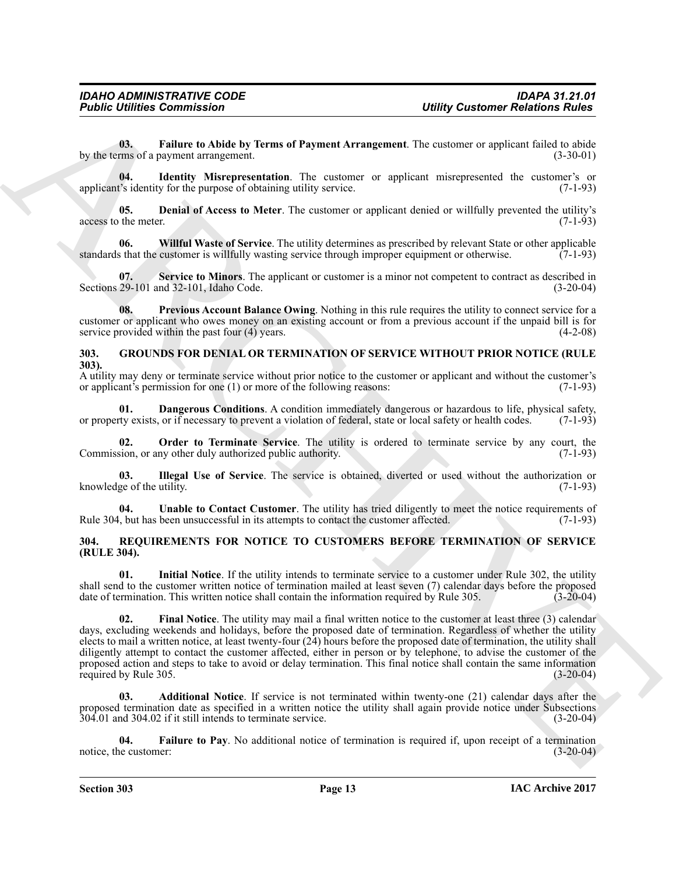<span id="page-12-3"></span>**03. Failure to Abide by Terms of Payment Arrangement**. The customer or applicant failed to abide by the terms of a payment arrangement.

<span id="page-12-4"></span>**04. Identity Misrepresentation**. The customer or applicant misrepresented the customer's or applicant's identity for the purpose of obtaining utility service. (7-1-93)

<span id="page-12-2"></span>**05. Denial of Access to Meter**. The customer or applicant denied or willfully prevented the utility's the meter. (7-1-93) access to the meter.

<span id="page-12-7"></span>**06.** Willful Waste of Service. The utility determines as prescribed by relevant State or other applicable s that the customer is willfully wasting service through improper equipment or otherwise. (7-1-93) standards that the customer is willfully wasting service through improper equipment or otherwise.

<span id="page-12-6"></span>**Service to Minors**. The applicant or customer is a minor not competent to contract as described in Sections 29-101 and 32-101, Idaho Code. (3-20-04)

<span id="page-12-5"></span>**08. Previous Account Balance Owing**. Nothing in this rule requires the utility to connect service for a customer or applicant who owes money on an existing account or from a previous account if the unpaid bill is for service provided within the past four (4) years. (4-2-08)

# <span id="page-12-8"></span><span id="page-12-0"></span>**303. GROUNDS FOR DENIAL OR TERMINATION OF SERVICE WITHOUT PRIOR NOTICE (RULE 303).**

A utility may deny or terminate service without prior notice to the customer or applicant and without the customer's or applicant's permission for one (1) or more of the following reasons: (7-1-93) or applicant's permission for one  $(1)$  or more of the following reasons:

<span id="page-12-9"></span>**01. Dangerous Conditions**. A condition immediately dangerous or hazardous to life, physical safety, ty exists, or if necessary to prevent a violation of federal, state or local safety or health codes. (7-1-93) or property exists, or if necessary to prevent a violation of federal, state or local safety or health codes.

<span id="page-12-11"></span>**Order to Terminate Service**. The utility is ordered to terminate service by any court, the ny other duly authorized public authority. (7-1-93) Commission, or any other duly authorized public authority.

<span id="page-12-10"></span>**03.** Illegal Use of Service. The service is obtained, diverted or used without the authorization or ge of the utility. (7-1-93) knowledge of the utility.

<span id="page-12-12"></span>**04.** Unable to Contact Customer. The utility has tried diligently to meet the notice requirements of but has been unsuccessful in its attempts to contact the customer affected. (7-1-93) Rule 304, but has been unsuccessful in its attempts to contact the customer affected.

# <span id="page-12-13"></span><span id="page-12-1"></span>**304. REQUIREMENTS FOR NOTICE TO CUSTOMERS BEFORE TERMINATION OF SERVICE (RULE 304).**

<span id="page-12-17"></span><span id="page-12-16"></span>**01. Initial Notice**. If the utility intends to terminate service to a customer under Rule 302, the utility shall send to the customer written notice of termination mailed at least seven (7) calendar days before the proposed date of termination. This written notice shall contain the information required by Rule 305. (3-20-04)

**Folding Commission Unitry Contempo Relations Rivies**<br>
We now **function to Addition Rivies by them of Psyneut Arengement. The customer or applicant final time<br>
We now the strength interpretation The customer or applican 02. Final Notice**. The utility may mail a final written notice to the customer at least three (3) calendar days, excluding weekends and holidays, before the proposed date of termination. Regardless of whether the utility elects to mail a written notice, at least twenty-four (24) hours before the proposed date of termination, the utility shall diligently attempt to contact the customer affected, either in person or by telephone, to advise the customer of the proposed action and steps to take to avoid or delay termination. This final notice shall contain the same information required by Rule 305. required by Rule 305.

<span id="page-12-14"></span>**03. Additional Notice**. If service is not terminated within twenty-one (21) calendar days after the proposed termination date as specified in a written notice the utility shall again provide notice under Subsections 304.01 and 304.02 if it still intends to terminate service. (3-20-04)

<span id="page-12-15"></span>**04.** Failure to Pay. No additional notice of termination is required if, upon receipt of a termination is equired if, upon receipt of a termination is equired if, upon receipt of a termination notice, the customer: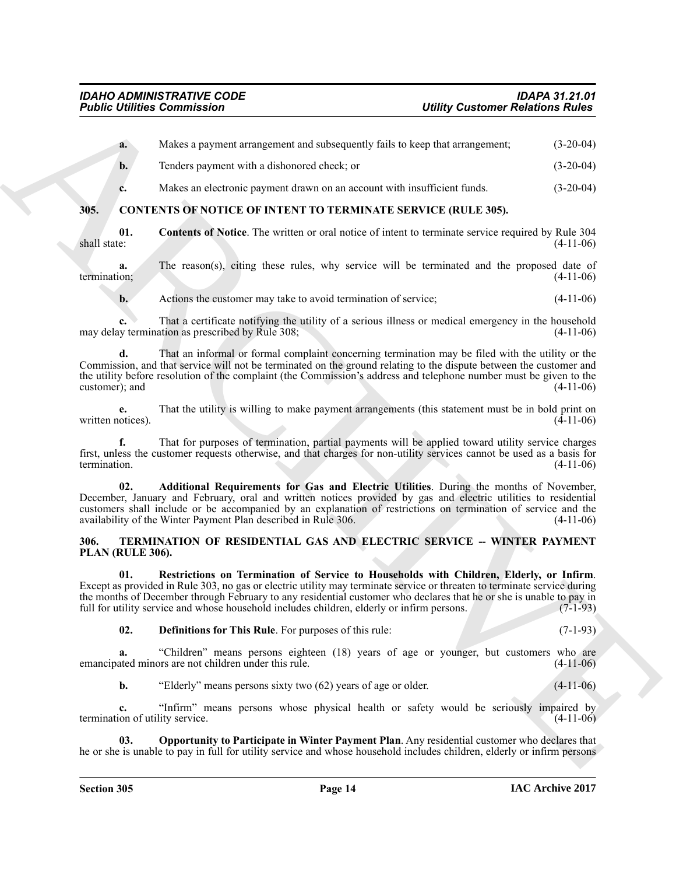<span id="page-13-4"></span><span id="page-13-2"></span><span id="page-13-0"></span>

|                                       | <b>Public Utilities Commission</b>                                                                                                                                                                                                                                                                                                                                                                                                       | <b>Utility Customer Relations Rules</b> |
|---------------------------------------|------------------------------------------------------------------------------------------------------------------------------------------------------------------------------------------------------------------------------------------------------------------------------------------------------------------------------------------------------------------------------------------------------------------------------------------|-----------------------------------------|
| a.                                    | Makes a payment arrangement and subsequently fails to keep that arrangement;                                                                                                                                                                                                                                                                                                                                                             | $(3-20-04)$                             |
| b.                                    | Tenders payment with a dishonored check; or                                                                                                                                                                                                                                                                                                                                                                                              | $(3-20-04)$                             |
| c.                                    | Makes an electronic payment drawn on an account with insufficient funds.                                                                                                                                                                                                                                                                                                                                                                 | $(3-20-04)$                             |
| 305.                                  | <b>CONTENTS OF NOTICE OF INTENT TO TERMINATE SERVICE (RULE 305).</b>                                                                                                                                                                                                                                                                                                                                                                     |                                         |
| 01.<br>shall state:                   | <b>Contents of Notice</b> . The written or oral notice of intent to terminate service required by Rule 304                                                                                                                                                                                                                                                                                                                               | $(4-11-06)$                             |
| a.<br>termination;                    | The reason(s), citing these rules, why service will be terminated and the proposed date of                                                                                                                                                                                                                                                                                                                                               | $(4-11-06)$                             |
| b.                                    | Actions the customer may take to avoid termination of service;                                                                                                                                                                                                                                                                                                                                                                           | $(4-11-06)$                             |
| c.                                    | That a certificate notifying the utility of a serious illness or medical emergency in the household<br>may delay termination as prescribed by Rule 308;                                                                                                                                                                                                                                                                                  | $(4-11-06)$                             |
| d.<br>customer); and                  | That an informal or formal complaint concerning termination may be filed with the utility or the<br>Commission, and that service will not be terminated on the ground relating to the dispute between the customer and<br>the utility before resolution of the complaint (the Commission's address and telephone number must be given to the                                                                                             | $(4-11-06)$                             |
| е.<br>written notices).               | That the utility is willing to make payment arrangements (this statement must be in bold print on                                                                                                                                                                                                                                                                                                                                        | $(4-11-06)$                             |
| termination.                          | That for purposes of termination, partial payments will be applied toward utility service charges<br>first, unless the customer requests otherwise, and that charges for non-utility services cannot be used as a basis for                                                                                                                                                                                                              | $(4-11-06)$                             |
| 02.                                   | Additional Requirements for Gas and Electric Utilities. During the months of November,<br>December, January and February, oral and written notices provided by gas and electric utilities to residential<br>customers shall include or be accompanied by an explanation of restrictions on termination of service and the<br>availability of the Winter Payment Plan described in Rule 306.                                              | $(4-11-06)$                             |
| 306.<br>PLAN (RULE 306).              | TERMINATION OF RESIDENTIAL GAS AND ELECTRIC SERVICE -- WINTER PAYMENT                                                                                                                                                                                                                                                                                                                                                                    |                                         |
| 01.                                   | Restrictions on Termination of Service to Households with Children, Elderly, or Infirm.<br>Except as provided in Rule 303, no gas or electric utility may terminate service or threaten to terminate service during<br>the months of December through February to any residential customer who declares that he or she is unable to pay in<br>full for utility service and whose household includes children, elderly or infirm persons. | $(7-1-93)$                              |
| 02.                                   | Definitions for This Rule. For purposes of this rule:                                                                                                                                                                                                                                                                                                                                                                                    | $(7-1-93)$                              |
| a.                                    | "Children" means persons eighteen (18) years of age or younger, but customers who are<br>emancipated minors are not children under this rule.                                                                                                                                                                                                                                                                                            | $(4-11-06)$                             |
| $\mathbf{b}$ .                        | "Elderly" means persons sixty two (62) years of age or older.                                                                                                                                                                                                                                                                                                                                                                            | $(4-11-06)$                             |
| c.<br>termination of utility service. | "Infirm" means persons whose physical health or safety would be seriously impaired by                                                                                                                                                                                                                                                                                                                                                    | $(4-11-06)$                             |
| 03.                                   | Opportunity to Participate in Winter Payment Plan. Any residential customer who declares that<br>he or she is unable to pay in full for utility service and whose household includes children, elderly or infirm persons                                                                                                                                                                                                                 |                                         |
|                                       |                                                                                                                                                                                                                                                                                                                                                                                                                                          |                                         |

# <span id="page-13-8"></span><span id="page-13-7"></span><span id="page-13-6"></span><span id="page-13-5"></span><span id="page-13-3"></span><span id="page-13-1"></span>**306. TERMINATION OF RESIDENTIAL GAS AND ELECTRIC SERVICE -- WINTER PAYMENT PLAN (RULE 306).**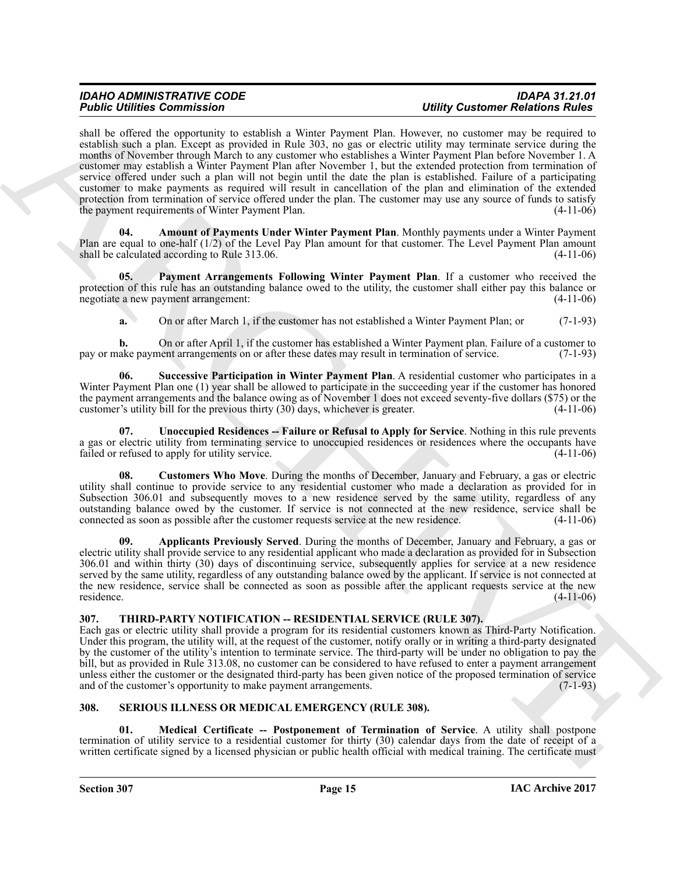Figure 12 contrasts of the contrast of the spin of the spin of the spin of the spin of the spin of the spin of the spin of the spin of the spin of the spin of the spin of the spin of the spin of the spin of the spin of th shall be offered the opportunity to establish a Winter Payment Plan. However, no customer may be required to establish such a plan. Except as provided in Rule 303, no gas or electric utility may terminate service during the months of November through March to any customer who establishes a Winter Payment Plan before November 1. A customer may establish a Winter Payment Plan after November 1, but the extended protection from termination of service offered under such a plan will not begin until the date the plan is established. Failure of a participating customer to make payments as required will result in cancellation of the plan and elimination of the extended protection from termination of service offered under the plan. The customer may use any source of funds to satisfy the payment requirements of Winter Payment Plan. (4-11-06)

<span id="page-14-5"></span>**04. Amount of Payments Under Winter Payment Plan**. Monthly payments under a Winter Payment Plan are equal to one-half  $(1/2)$  of the Level Pay Plan amount for that customer. The Level Payment Plan amount shall be calculated according to Rule 313.06. shall be calculated according to Rule 313.06.

**05. Payment Arrangements Following Winter Payment Plan**. If a customer who received the protection of this rule has an outstanding balance owed to the utility, the customer shall either pay this balance or negotiate a new payment arrangement: (4-11-06)

<span id="page-14-8"></span><span id="page-14-2"></span>**a.** On or after March 1, if the customer has not established a Winter Payment Plan; or (7-1-93)

**b.** On or after April 1, if the customer has established a Winter Payment plan. Failure of a customer to ake payment arrangements on or after these dates may result in termination of service. (7-1-93) pay or make payment arrangements on or after these dates may result in termination of service.

**06. Successive Participation in Winter Payment Plan**. A residential customer who participates in a Winter Payment Plan one (1) year shall be allowed to participate in the succeeding year if the customer has honored the payment arrangements and the balance owing as of November 1 does not exceed seventy-five dollars (\$75) or the customer's utility bill for the previous thirty (30) days, whichever is greater. (4-11-06) customer's utility bill for the previous thirty  $(30)$  days, whichever is greater.

<span id="page-14-9"></span>**07. Unoccupied Residences -- Failure or Refusal to Apply for Service**. Nothing in this rule prevents a gas or electric utility from terminating service to unoccupied residences or residences where the occupants have failed or refused to apply for utility service. (4-11-06)

<span id="page-14-7"></span>**08. Customers Who Move**. During the months of December, January and February, a gas or electric utility shall continue to provide service to any residential customer who made a declaration as provided for in Subsection 306.01 and subsequently moves to a new residence served by the same utility, regardless of any outstanding balance owed by the customer. If service is not connected at the new residence, service shall be connected as soon as possible after the customer requests service at the new residence. (4-11-06) connected as soon as possible after the customer requests service at the new residence.

<span id="page-14-6"></span>**09. Applicants Previously Served**. During the months of December, January and February, a gas or electric utility shall provide service to any residential applicant who made a declaration as provided for in Subsection 306.01 and within thirty (30) days of discontinuing service, subsequently applies for service at a new residence served by the same utility, regardless of any outstanding balance owed by the applicant. If service is not connected at the new residence, service shall be connected as soon as possible after the applicant requests service at the new residence. (4-11-06)

# <span id="page-14-10"></span><span id="page-14-0"></span>**307. THIRD-PARTY NOTIFICATION -- RESIDENTIAL SERVICE (RULE 307).**

Each gas or electric utility shall provide a program for its residential customers known as Third-Party Notification. Under this program, the utility will, at the request of the customer, notify orally or in writing a third-party designated by the customer of the utility's intention to terminate service. The third-party will be under no obligation to pay the bill, but as provided in Rule 313.08, no customer can be considered to have refused to enter a payment arrangement unless either the customer or the designated third-party has been given notice of the proposed termination of service and of the customer's opportunity to make payment arrangements. (7-1-93) and of the customer's opportunity to make payment arrangements.

# <span id="page-14-3"></span><span id="page-14-1"></span>**308. SERIOUS ILLNESS OR MEDICAL EMERGENCY (RULE 308).**

<span id="page-14-4"></span>**01. Medical Certificate -- Postponement of Termination of Service**. A utility shall postpone termination of utility service to a residential customer for thirty (30) calendar days from the date of receipt of a written certificate signed by a licensed physician or public health official with medical training. The certificate must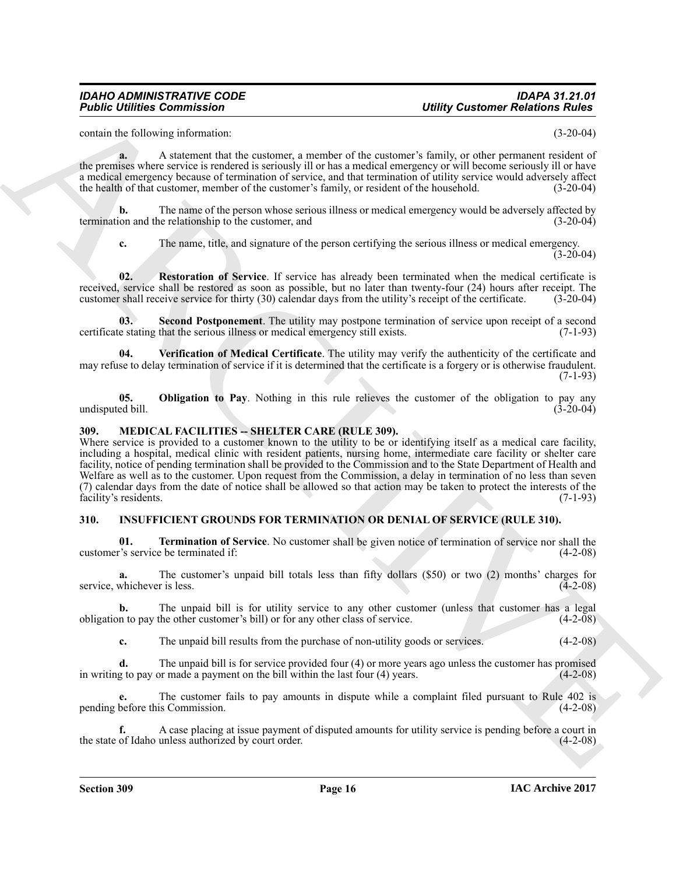contain the following information: (3-20-04)

**a.** A statement that the customer, a member of the customer's family, or other permanent resident of the premises where service is rendered is seriously ill or has a medical emergency or will become seriously ill or have a medical emergency because of termination of service, and that termination of utility service would adversely affect the health of that customer, member of the customer's family, or resident of the household. (3-20-04)

**b.** The name of the person whose serious illness or medical emergency would be adversely affected by ion and the relationship to the customer, and (3-20-04) termination and the relationship to the customer, and

<span id="page-15-7"></span><span id="page-15-6"></span>**c.** The name, title, and signature of the person certifying the serious illness or medical emergency.  $(3-20-04)$ 

**02. Restoration of Service**. If service has already been terminated when the medical certificate is received, service shall be restored as soon as possible, but no later than twenty-four (24) hours after receipt. The customer shall receive service for thirty (30) calendar days from the utility's receipt of the certificate. (3-20-04)

**03. Second Postponement**. The utility may postpone termination of service upon receipt of a second certificate stating that the serious illness or medical emergency still exists. (7-1-93)

<span id="page-15-8"></span>**04. Verification of Medical Certificate**. The utility may verify the authenticity of the certificate and may refuse to delay termination of service if it is determined that the certificate is a forgery or is otherwise fraudulent. (7-1-93)

<span id="page-15-5"></span>**05. Obligation to Pay**. Nothing in this rule relieves the customer of the obligation to pay any ed bill. (3-20-04) undisputed bill.

# <span id="page-15-4"></span><span id="page-15-0"></span>**309. MEDICAL FACILITIES -- SHELTER CARE (RULE 309).**

**Folding Communication** (**b)**<br> **Configures Communication** (**c**) and the content of the content of the layer of the system of the system of the system of the system of the system of the system of the system of the system o Where service is provided to a customer known to the utility to be or identifying itself as a medical care facility, including a hospital, medical clinic with resident patients, nursing home, intermediate care facility or shelter care facility, notice of pending termination shall be provided to the Commission and to the State Department of Health and Welfare as well as to the customer. Upon request from the Commission, a delay in termination of no less than seven (7) calendar days from the date of notice shall be allowed so that action may be taken to protect the interests of the facility's residents. (7-1-93)

# <span id="page-15-2"></span><span id="page-15-1"></span>**310. INSUFFICIENT GROUNDS FOR TERMINATION OR DENIAL OF SERVICE (RULE 310).**

<span id="page-15-3"></span>**01. Termination of Service**. No customer shall be given notice of termination of service nor shall the customer's service be terminated if: (4-2-08)

**a.** The customer's unpaid bill totals less than fifty dollars (\$50) or two (2) months' charges for whichever is less. (4-2-08) service, whichever is less.

**b.** The unpaid bill is for utility service to any other customer (unless that customer has a legal in to pay the other customer's bill) or for any other class of service. (4-2-08) obligation to pay the other customer's bill) or for any other class of service.

**c.** The unpaid bill results from the purchase of non-utility goods or services. (4-2-08)

**d.** The unpaid bill is for service provided four (4) or more years ago unless the customer has promised g to pay or made a payment on the bill within the last four (4) years. in writing to pay or made a payment on the bill within the last four  $(4)$  years.

The customer fails to pay amounts in dispute while a complaint filed pursuant to Rule 402 is Commission. (4-2-08) pending before this Commission.

**f.** A case placing at issue payment of disputed amounts for utility service is pending before a court in of Idaho unless authorized by court order. the state of Idaho unless authorized by court order.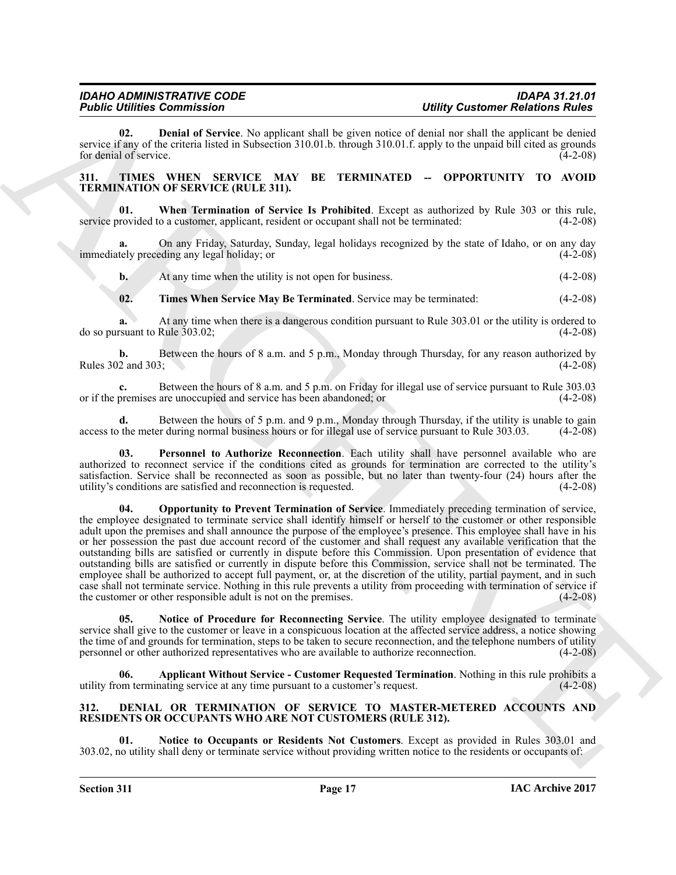<span id="page-16-4"></span>**02. Denial of Service**. No applicant shall be given notice of denial nor shall the applicant be denied service if any of the criteria listed in Subsection 310.01.b. through 310.01.f. apply to the unpaid bill cited as grounds for denial of service. (4-2-08) for denial of service.

# <span id="page-16-5"></span><span id="page-16-0"></span>**311. TIMES WHEN SERVICE MAY BE TERMINATED -- OPPORTUNITY TO AVOID TERMINATION OF SERVICE (RULE 311).**

<span id="page-16-11"></span>**When Termination of Service Is Prohibited**. Except as authorized by Rule 303 or this rule, o a customer, applicant, resident or occupant shall not be terminated: (4-2-08) service provided to a customer, applicant, resident or occupant shall not be terminated:

**a.** On any Friday, Saturday, Sunday, legal holidays recognized by the state of Idaho, or on any day tely preceding any legal holiday; or immediately preceding any legal holiday; or

**b.** At any time when the utility is not open for business. (4-2-08)

<span id="page-16-10"></span>**02. Times When Service May Be Terminated**. Service may be terminated: (4-2-08)

**a.** At any time when there is a dangerous condition pursuant to Rule 303.01 or the utility is ordered to do so pursuant to Rule 303.02; (4-2-08)

**b.** Between the hours of 8 a.m. and 5 p.m., Monday through Thursday, for any reason authorized by 2 and 303; (4-2-08) Rules 302 and 303;

**c.** Between the hours of 8 a.m. and 5 p.m. on Friday for illegal use of service pursuant to Rule 303.03 or if the premises are unoccupied and service has been abandoned; or (4-2-08)

**d.** Between the hours of 5 p.m. and 9 p.m., Monday through Thursday, if the utility is unable to gain access to the meter during normal business hours or for illegal use of service pursuant to Rule 303.03. (4-2-08)

<span id="page-16-9"></span><span id="page-16-8"></span>**03. Personnel to Authorize Reconnection**. Each utility shall have personnel available who are authorized to reconnect service if the conditions cited as grounds for termination are corrected to the utility's satisfaction. Service shall be reconnected as soon as possible, but no later than twenty-four (24) hours after the utility's conditions are satisfied and reconnection is requested. (4-2-08)

**Folding Commutes and Section Architects Commute and Section 2018.** The state of the state of the state of the state of the state of the state of the state of the state of the state of the state of the state of the state **04. Opportunity to Prevent Termination of Service**. Immediately preceding termination of service, the employee designated to terminate service shall identify himself or herself to the customer or other responsible adult upon the premises and shall announce the purpose of the employee's presence. This employee shall have in his or her possession the past due account record of the customer and shall request any available verification that the outstanding bills are satisfied or currently in dispute before this Commission. Upon presentation of evidence that outstanding bills are satisfied or currently in dispute before this Commission, service shall not be terminated. The employee shall be authorized to accept full payment, or, at the discretion of the utility, partial payment, and in such case shall not terminate service. Nothing in this rule prevents a utility from proceeding with termination of service if the customer or other responsible adult is not on the premises. (4-2-08)

<span id="page-16-7"></span>**05. Notice of Procedure for Reconnecting Service**. The utility employee designated to terminate service shall give to the customer or leave in a conspicuous location at the affected service address, a notice showing the time of and grounds for termination, steps to be taken to secure reconnection, and the telephone numbers of utility personnel or other authorized representatives who are available to authorize reconnection. (4-2-08)

<span id="page-16-6"></span>**Applicant Without Service - Customer Requested Termination**. Nothing in this rule prohibits a nating service at any time pursuant to a customer's request. (4-2-08) utility from terminating service at any time pursuant to a customer's request.

# <span id="page-16-2"></span><span id="page-16-1"></span>**312. DENIAL OR TERMINATION OF SERVICE TO MASTER-METERED ACCOUNTS AND RESIDENTS OR OCCUPANTS WHO ARE NOT CUSTOMERS (RULE 312).**

<span id="page-16-3"></span>**01. Notice to Occupants or Residents Not Customers**. Except as provided in Rules 303.01 and 303.02, no utility shall deny or terminate service without providing written notice to the residents or occupants of: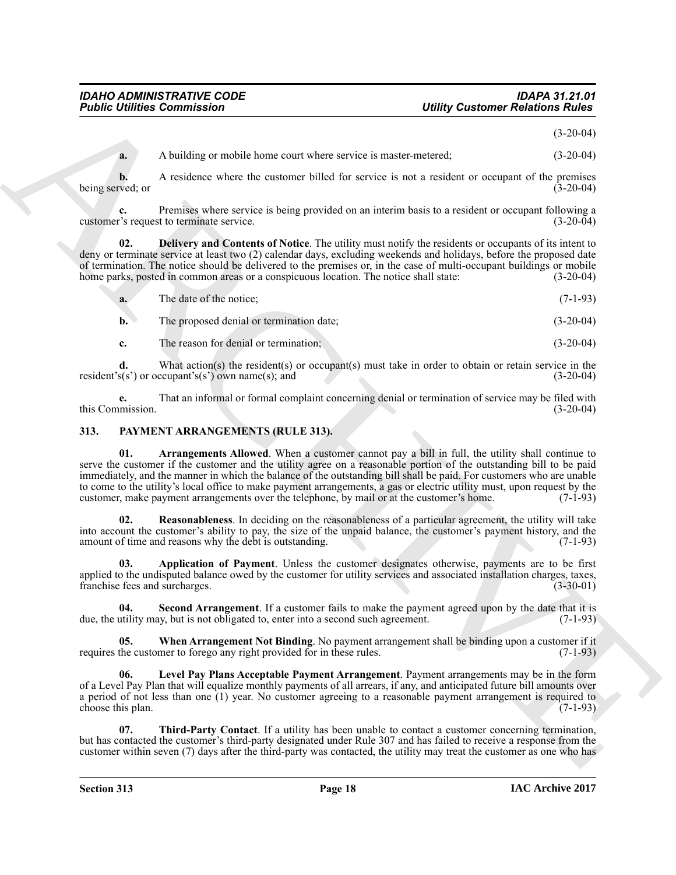(3-20-04)

**a.** A building or mobile home court where service is master-metered;  $(3-20-04)$ 

**b.** A residence where the customer billed for service is not a resident or occupant of the premises being served; or (3-20-04)

**c.** Premises where service is being provided on an interim basis to a resident or occupant following a r's request to terminate service. (3-20-04) customer's request to terminate service.

**02. Delivery and Contents of Notice**. The utility must notify the residents or occupants of its intent to deny or terminate service at least two (2) calendar days, excluding weekends and holidays, before the proposed date of termination. The notice should be delivered to the premises or, in the case of multi-occupant buildings or mobile<br>home parks, posted in common areas or a conspicuous location. The notice shall state: (3-20-04) home parks, posted in common areas or a conspicuous location. The notice shall state:

<span id="page-17-1"></span>

| a. | The date of the notice; | $(7-1-93)$ |  |
|----|-------------------------|------------|--|
|    |                         |            |  |

**b.** The proposed denial or termination date; (3-20-04)

**c.** The reason for denial or termination; (3-20-04)

**d.** What action(s) the resident(s) or occupant(s) must take in order to obtain or retain service in the  $(s)$  or occupant's(s') own name(s); and  $(3-20-04)$ resident's(s') or occupant's(s') own name(s); and

**e.** That an informal or formal complaint concerning denial or termination of service may be filed with mission.  $(3-20-04)$ this Commission.

# <span id="page-17-4"></span><span id="page-17-2"></span><span id="page-17-0"></span>**313. PAYMENT ARRANGEMENTS (RULE 313).**

**Folding Commission**<br> **A**<br> **A** A hadding or melvin here corresponds the second result of successions of the second results of the second results of the second results of the second results of the second results of the sec **01. Arrangements Allowed**. When a customer cannot pay a bill in full, the utility shall continue to serve the customer if the customer and the utility agree on a reasonable portion of the outstanding bill to be paid immediately, and the manner in which the balance of the outstanding bill shall be paid. For customers who are unable to come to the utility's local office to make payment arrangements, a gas or electric utility must, upon request by the customer, make payment arrangements over the telephone, by mail or at the customer's home. (7-1-93) customer, make payment arrangements over the telephone, by mail or at the customer's home.

<span id="page-17-6"></span>**02. Reasonableness**. In deciding on the reasonableness of a particular agreement, the utility will take into account the customer's ability to pay, the size of the unpaid balance, the customer's payment history, and the amount of time and reasons why the debt is outstanding. (7-1-93) amount of time and reasons why the debt is outstanding.

<span id="page-17-3"></span>**03. Application of Payment**. Unless the customer designates otherwise, payments are to be first applied to the undisputed balance owed by the customer for utility services and associated installation charges, taxes, franchise fees and surcharges. (3-30-01) franchise fees and surcharges.

<span id="page-17-7"></span>**04.** Second Arrangement. If a customer fails to make the payment agreed upon by the date that it is utility may, but is not obligated to, enter into a second such agreement. (7-1-93) due, the utility may, but is not obligated to, enter into a second such agreement.

<span id="page-17-9"></span>**05. When Arrangement Not Binding**. No payment arrangement shall be binding upon a customer if it requires the customer to forego any right provided for in these rules. (7-1-93)

<span id="page-17-5"></span>**06. Level Pay Plans Acceptable Payment Arrangement**. Payment arrangements may be in the form of a Level Pay Plan that will equalize monthly payments of all arrears, if any, and anticipated future bill amounts over a period of not less than one (1) year. No customer agreeing to a reasonable payment arrangement is required to choose this plan.  $(7-1-93)$ choose this plan.

<span id="page-17-8"></span>**07. Third-Party Contact**. If a utility has been unable to contact a customer concerning termination, but has contacted the customer's third-party designated under Rule 307 and has failed to receive a response from the customer within seven (7) days after the third-party was contacted, the utility may treat the customer as one who has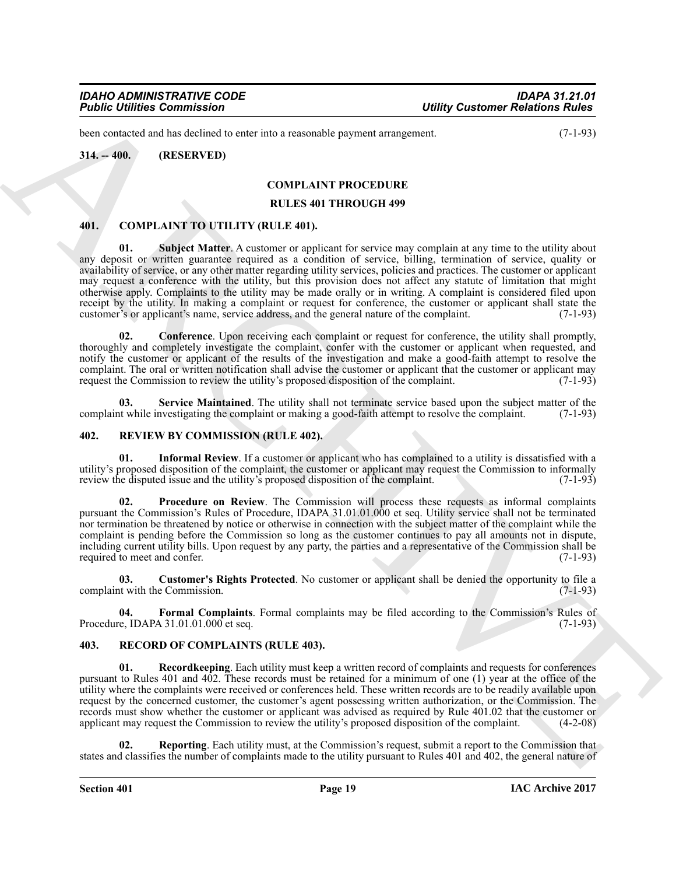been contacted and has declined to enter into a reasonable payment arrangement. (7-1-93)

# <span id="page-18-0"></span>**314. -- 400. (RESERVED)**

# <span id="page-18-4"></span>**COMPLAINT PROCEDURE**

#### **RULES 401 THROUGH 499**

#### <span id="page-18-8"></span><span id="page-18-5"></span><span id="page-18-1"></span>**401. COMPLAINT TO UTILITY (RULE 401).**

**Found Confirmes Commission Control in the system of the system of the system of the system of the system of the system of the system of the system of the system of the system of the system of the system of the system of 01. Subject Matter**. A customer or applicant for service may complain at any time to the utility about any deposit or written guarantee required as a condition of service, billing, termination of service, quality or availability of service, or any other matter regarding utility services, policies and practices. The customer or applicant may request a conference with the utility, but this provision does not affect any statute of limitation that might otherwise apply. Complaints to the utility may be made orally or in writing. A complaint is considered filed upon receipt by the utility. In making a complaint or request for conference, the customer or applicant shall state the customer's or applicant's name, service address, and the general nature of the complaint. (7-1-93) customer's or applicant's name, service address, and the general nature of the complaint.

<span id="page-18-6"></span>**02.** Conference. Upon receiving each complaint or request for conference, the utility shall promptly, thoroughly and completely investigate the complaint, confer with the customer or applicant when requested, and notify the customer or applicant of the results of the investigation and make a good-faith attempt to resolve the complaint. The oral or written notification shall advise the customer or applicant that the customer or applicant may request the Commission to review the utility's proposed disposition of the complaint. (7-1-93) request the Commission to review the utility's proposed disposition of the complaint.

<span id="page-18-7"></span>**03.** Service Maintained. The utility shall not terminate service based upon the subject matter of the twhile investigating the complaint or making a good-faith attempt to resolve the complaint. (7-1-93) complaint while investigating the complaint or making a good-faith attempt to resolve the complaint.

#### <span id="page-18-12"></span><span id="page-18-2"></span>**402. REVIEW BY COMMISSION (RULE 402).**

<span id="page-18-15"></span>**01. Informal Review**. If a customer or applicant who has complained to a utility is dissatisfied with a utility's proposed disposition of the complaint, the customer or applicant may request the Commission to informally review the disputed issue and the utility's proposed disposition of the complaint. (7-1-93)

<span id="page-18-16"></span>**02. Procedure on Review**. The Commission will process these requests as informal complaints pursuant the Commission's Rules of Procedure, IDAPA 31.01.01.000 et seq. Utility service shall not be terminated nor termination be threatened by notice or otherwise in connection with the subject matter of the complaint while the complaint is pending before the Commission so long as the customer continues to pay all amounts not in dispute, including current utility bills. Upon request by any party, the parties and a representative of the Commission shall be required to meet and confer.

<span id="page-18-13"></span>**03. Customer's Rights Protected**. No customer or applicant shall be denied the opportunity to file a complaint with the Commission. (7-1-93)

<span id="page-18-14"></span>**04. Formal Complaints**. Formal complaints may be filed according to the Commission's Rules of Procedure, IDAPA 31.01.01.000 et seq. (7-1-93)

# <span id="page-18-9"></span><span id="page-18-3"></span>**403. RECORD OF COMPLAINTS (RULE 403).**

<span id="page-18-10"></span>**01. Recordkeeping**. Each utility must keep a written record of complaints and requests for conferences pursuant to Rules 401 and 402. These records must be retained for a minimum of one (1) year at the office of the utility where the complaints were received or conferences held. These written records are to be readily available upon request by the concerned customer, the customer's agent possessing written authorization, or the Commission. The records must show whether the customer or applicant was advised as required by Rule 401.02 that the customer or applicant may request the Commission to review the utility's proposed disposition of the complaint. (4-2-08) applicant may request the Commission to review the utility's proposed disposition of the complaint.

<span id="page-18-11"></span>**02. Reporting**. Each utility must, at the Commission's request, submit a report to the Commission that states and classifies the number of complaints made to the utility pursuant to Rules 401 and 402, the general nature of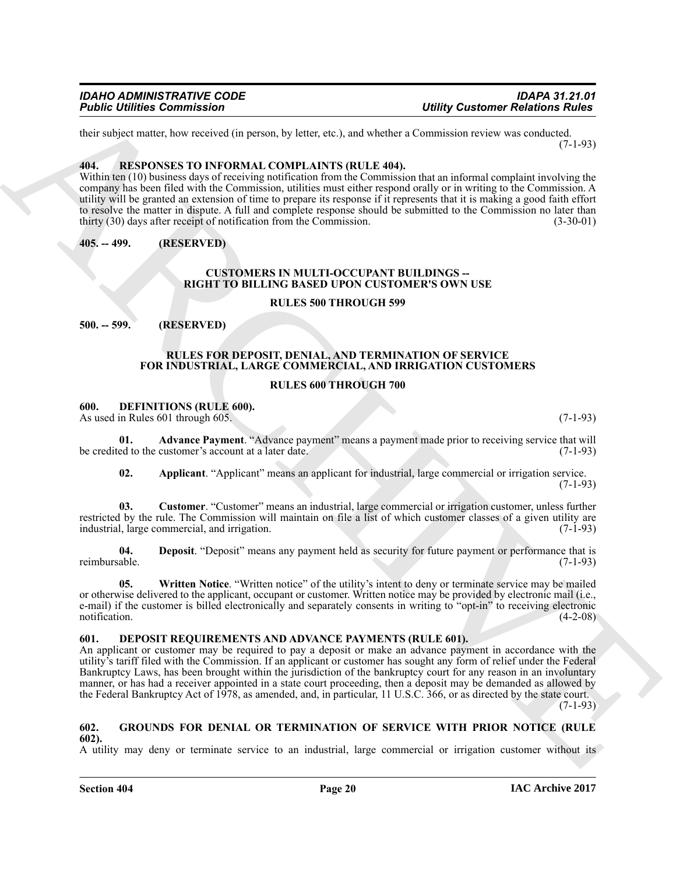their subject matter, how received (in person, by letter, etc.), and whether a Commission review was conducted. (7-1-93)

#### <span id="page-19-15"></span><span id="page-19-0"></span>**404. RESPONSES TO INFORMAL COMPLAINTS (RULE 404).**

Within ten (10) business days of receiving notification from the Commission that an informal complaint involving the company has been filed with the Commission, utilities must either respond orally or in writing to the Commission. A utility will be granted an extension of time to prepare its response if it represents that it is making a good faith effort to resolve the matter in dispute. A full and complete response should be submitted to the Commission no later than thirty (30) days after receipt of notification from the Commission. (3-30-01) thirty  $(30)$  days after receipt of notification from the Commission.

<span id="page-19-1"></span>**405. -- 499. (RESERVED)**

# <span id="page-19-6"></span>**CUSTOMERS IN MULTI-OCCUPANT BUILDINGS -- RIGHT TO BILLING BASED UPON CUSTOMER'S OWN USE**

# **RULES 500 THROUGH 599**

# <span id="page-19-2"></span>**500. -- 599. (RESERVED)**

# <span id="page-19-16"></span>**RULES FOR DEPOSIT, DENIAL, AND TERMINATION OF SERVICE FOR INDUSTRIAL, LARGE COMMERCIAL, AND IRRIGATION CUSTOMERS**

# **RULES 600 THROUGH 700**

# <span id="page-19-7"></span><span id="page-19-3"></span>**600. DEFINITIONS (RULE 600).**

As used in Rules 601 through 605. (7-1-93)

**01. Advance Payment**. "Advance payment" means a payment made prior to receiving service that will be credited to the customer's account at a later date. (7-1-93)

<span id="page-19-11"></span><span id="page-19-10"></span><span id="page-19-9"></span><span id="page-19-8"></span>**02. Applicant**. "Applicant" means an applicant for industrial, large commercial or irrigation service. (7-1-93)

**03. Customer**. "Customer" means an industrial, large commercial or irrigation customer, unless further restricted by the rule. The Commission will maintain on file a list of which customer classes of a given utility are industrial. large commercial, and irrigation. industrial, large commercial, and irrigation.

**04.** Deposit. "Deposit" means any payment held as security for future payment or performance that is reimbursable. (7-1-93) reimbursable. (7-1-93)

<span id="page-19-12"></span>**05. Written Notice**. "Written notice" of the utility's intent to deny or terminate service may be mailed or otherwise delivered to the applicant, occupant or customer. Written notice may be provided by electronic mail (i.e., e-mail) if the customer is billed electronically and separately consents in writing to "opt-in" to receiving electronic notification.  $(4-2-08)$ 

# <span id="page-19-13"></span><span id="page-19-4"></span>**601. DEPOSIT REQUIREMENTS AND ADVANCE PAYMENTS (RULE 601).**

**Foother Commission**<br>
Henry Contours Commission<br>
1986 Collider Commission (1986)<br>
1987 Collider Commission (1987)<br>
1988 Collider Commission (1988)<br>
1988 Collider Commission (1988)<br>
1988 Collider Commission (1988)<br>
1988 Co An applicant or customer may be required to pay a deposit or make an advance payment in accordance with the utility's tariff filed with the Commission. If an applicant or customer has sought any form of relief under the Federal Bankruptcy Laws, has been brought within the jurisdiction of the bankruptcy court for any reason in an involuntary manner, or has had a receiver appointed in a state court proceeding, then a deposit may be demanded as allowed by the Federal Bankruptcy Act of 1978, as amended, and, in particular, 11 U.S.C. 366, or as directed by the state court.

(7-1-93)

#### <span id="page-19-14"></span><span id="page-19-5"></span>**602. GROUNDS FOR DENIAL OR TERMINATION OF SERVICE WITH PRIOR NOTICE (RULE 602).**

A utility may deny or terminate service to an industrial, large commercial or irrigation customer without its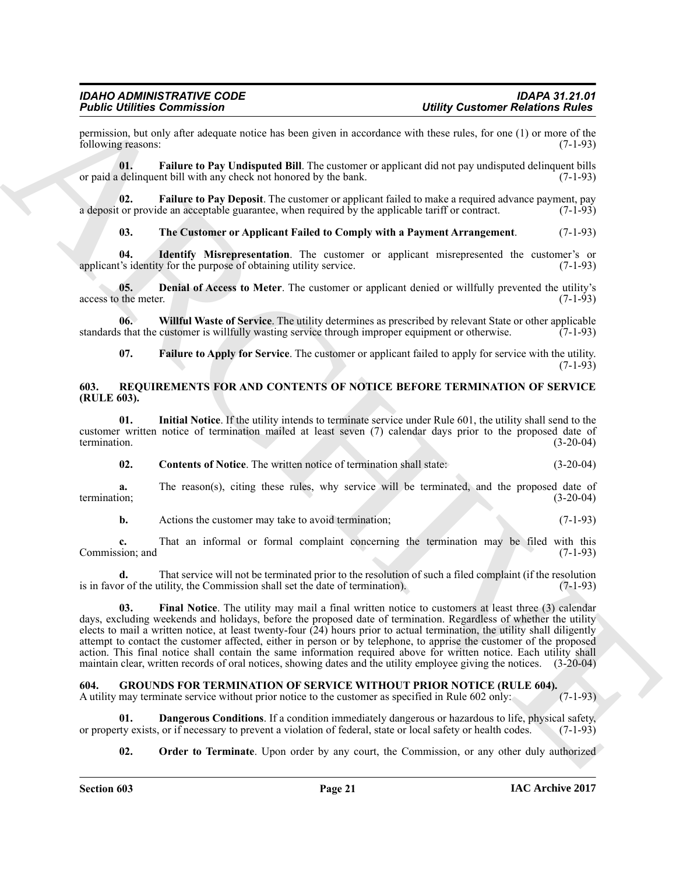permission, but only after adequate notice has been given in accordance with these rules, for one (1) or more of the following reasons: (7-1-93)

<span id="page-20-5"></span>**01. Failure to Pay Undisputed Bill**. The customer or applicant did not pay undisputed delinquent bills or paid a delinquent bill with any check not honored by the bank. (7-1-93)

**02. Failure to Pay Deposit**. The customer or applicant failed to make a required advance payment, pay a deposit or provide an acceptable guarantee, when required by the applicable tariff or contract.

<span id="page-20-7"></span><span id="page-20-6"></span><span id="page-20-4"></span><span id="page-20-2"></span>**03. The Customer or Applicant Failed to Comply with a Payment Arrangement**. (7-1-93)

**04.** Identify Misrepresentation. The customer or applicant misrepresented the customer's or t's identity for the purpose of obtaining utility service. (7-1-93) applicant's identity for the purpose of obtaining utility service.

**05. Denial of Access to Meter**. The customer or applicant denied or willfully prevented the utility's the meter. (7-1-93) access to the meter.

**06. Willful Waste of Service**. The utility determines as prescribed by relevant State or other applicable standards that the customer is willfully wasting service through improper equipment or otherwise. (7-1-93)

<span id="page-20-12"></span><span id="page-20-8"></span><span id="page-20-3"></span>**07. Failure to Apply for Service**. The customer or applicant failed to apply for service with the utility.  $(7-1-93)$ 

#### <span id="page-20-0"></span>**603. REQUIREMENTS FOR AND CONTENTS OF NOTICE BEFORE TERMINATION OF SERVICE (RULE 603).**

**01. Initial Notice**. If the utility intends to terminate service under Rule 601, the utility shall send to the customer written notice of termination mailed at least seven (7) calendar days prior to the proposed date of termination. (3-20-04) termination.  $(3-20-04)$ 

<span id="page-20-15"></span><span id="page-20-13"></span>**02. Contents of Notice**. The written notice of termination shall state: (3-20-04)

**a.** The reason(s), citing these rules, why service will be terminated, and the proposed date of (3-20-04) termination; (3-20-04)

**b.** Actions the customer may take to avoid termination; (7-1-93)

**c.** That an informal or formal complaint concerning the termination may be filed with this sion; and (7-1-93) Commission; and

<span id="page-20-14"></span>**d.** That service will not be terminated prior to the resolution of such a filed complaint (if the resolution or of the utility, the Commission shall set the date of termination). (7-1-93) is in favor of the utility, the Commission shall set the date of termination).

Folio Entimate Commission Comparison<br>
2016 Commission Commission Commission Commission Commission Commission Commission Commission Commission Commission Commission Commission Commission Commission Commission Commission Co **03. Final Notice**. The utility may mail a final written notice to customers at least three (3) calendar days, excluding weekends and holidays, before the proposed date of termination. Regardless of whether the utility elects to mail a written notice, at least twenty-four (24) hours prior to actual termination, the utility shall diligently attempt to contact the customer affected, either in person or by telephone, to apprise the customer of the proposed action. This final notice shall contain the same information required above for written notice. Each utility shall maintain clear, written records of oral notices, showing dates and the utility employee giving the notices. (3-20-04)

# <span id="page-20-9"></span><span id="page-20-1"></span>**604. GROUNDS FOR TERMINATION OF SERVICE WITHOUT PRIOR NOTICE (RULE 604).**

A utility may terminate service without prior notice to the customer as specified in Rule 602 only: (7-1-93)

**01. Dangerous Conditions**. If a condition immediately dangerous or hazardous to life, physical safety, ty exists, or if necessary to prevent a violation of federal, state or local safety or health codes. (7-1-93) or property exists, or if necessary to prevent a violation of federal, state or local safety or health codes.

<span id="page-20-11"></span><span id="page-20-10"></span>**02. Order to Terminate**. Upon order by any court, the Commission, or any other duly authorized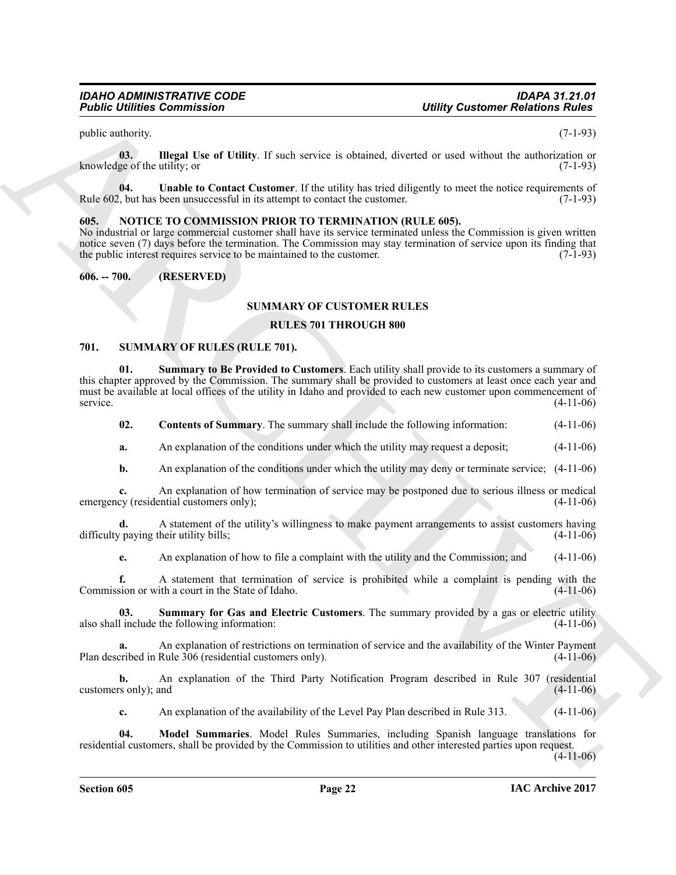<span id="page-21-3"></span>public authority. (7-1-93)

**03. Illegal Use of Utility**. If such service is obtained, diverted or used without the authorization or knowledge of the utility; or  $(7-1-93)$ 

<span id="page-21-4"></span>**04.** Unable to Contact Customer. If the utility has tried diligently to meet the notice requirements of level than the customer. (7-1-93) Rule 602, but has been unsuccessful in its attempt to contact the customer.

# <span id="page-21-5"></span><span id="page-21-0"></span>**605. NOTICE TO COMMISSION PRIOR TO TERMINATION (RULE 605).**

No industrial or large commercial customer shall have its service terminated unless the Commission is given written notice seven (7) days before the termination. The Commission may stay termination of service upon its finding that the public interest requires service to be maintained to the customer.  $(7-1-93)$ the public interest requires service to be maintained to the customer.

# <span id="page-21-1"></span>**606. -- 700. (RESERVED)**

# **SUMMARY OF CUSTOMER RULES**

# **RULES 701 THROUGH 800**

# <span id="page-21-6"></span><span id="page-21-2"></span>**701. SUMMARY OF RULES (RULE 701).**

**Foundation** Communistics Communistics (and Communistic Control of the set of the set of the set of the set of the set of the set of the set of the set of the set of the set of the set of the set of the set of the set of **01. Summary to Be Provided to Customers**. Each utility shall provide to its customers a summary of this chapter approved by the Commission. The summary shall be provided to customers at least once each year and must be available at local offices of the utility in Idaho and provided to each new customer upon commencement of service. (4-11-06) service.  $(4-11-06)$ 

<span id="page-21-10"></span><span id="page-21-7"></span>**02. Contents of Summary**. The summary shall include the following information: (4-11-06)

**a.** An explanation of the conditions under which the utility may request a deposit;  $(4-11-06)$ 

**b.** An explanation of the conditions under which the utility may deny or terminate service;  $(4-11-06)$ 

**c.** An explanation of how termination of service may be postponed due to serious illness or medical cy (residential customers only): (4-11-06) emergency (residential customers only);

**d.** A statement of the utility's willingness to make payment arrangements to assist customers having paying their utility bills; (4-11-06) difficulty paying their utility bills;

<span id="page-21-9"></span>**e.** An explanation of how to file a complaint with the utility and the Commission; and  $(4-11-06)$ 

**f.** A statement that termination of service is prohibited while a complaint is pending with the state of Idaho. (4-11-06) Commission or with a court in the State of Idaho.

**03. Summary for Gas and Electric Customers**. The summary provided by a gas or electric utility also shall include the following information: (4-11-06)

An explanation of restrictions on termination of service and the availability of the Winter Payment Rule 306 (residential customers only). (4-11-06) Plan described in Rule 306 (residential customers only).

**b.** An explanation of the Third Party Notification Program described in Rule 307 (residential customers only); and (4-11-06)

<span id="page-21-8"></span>**c.** An explanation of the availability of the Level Pay Plan described in Rule 313. (4-11-06)

**04. Model Summaries**. Model Rules Summaries, including Spanish language translations for residential customers, shall be provided by the Commission to utilities and other interested parties upon request.  $(4-11-06)$ 

**Section 605 Page 22**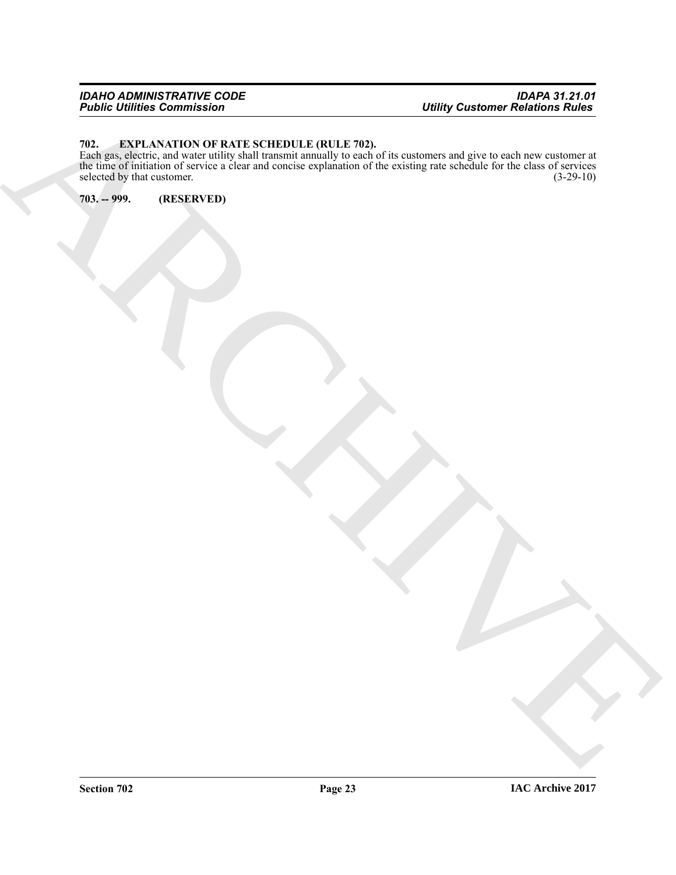### *IDAHO ADMINISTRATIVE CODE IDAPA 31.21.01 Public Utilities Commission Utility Customer Relations Rules*

# <span id="page-22-2"></span><span id="page-22-0"></span>**702. EXPLANATION OF RATE SCHEDULE (RULE 702).**

ARCHIVE Each gas, electric, and water utility shall transmit annually to each of its customers and give to each new customer at the time of initiation of service a clear and concise explanation of the existing rate schedule for the class of services selected by that customer.  $(3-29-10)$ 

<span id="page-22-1"></span>**703. -- 999. (RESERVED)**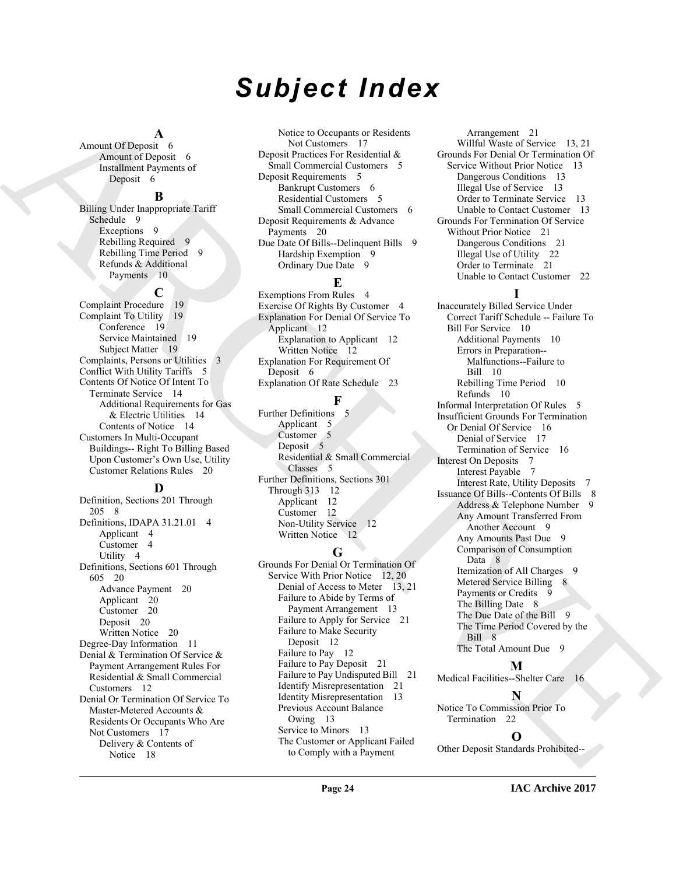# *Subject Index*

#### **A**

Amount Of Deposit 6 Amount of Deposit 6 Installment Payments of Deposit 6

#### **B**

Billing Under Inappropriate Tariff Schedule 9 Exceptions 9 Rebilling Required 9 Rebilling Time Period 9 Refunds & Additional Payments 10

# **C**

Complaint Procedure 19 Complaint To Utility 19 Conference 19 Service Maintained 19 Subject Matter 19 Complaints, Persons or Utilities 3 Conflict With Utility Tariffs 5 Contents Of Notice Of Intent To Terminate Service 14 Additional Requirements for Gas & Electric Utilities 14 Contents of Notice 14 Customers In Multi-Occupant Buildings-- Right To Billing Based Upon Customer's Own Use, Utility Customer Relations Rules 20

# **D**

Definition, Sections 201 Through 205 8 Definitions, IDAPA 31.21.01 4 Applicant 4 Customer 4 Utility 4 Definitions, Sections 601 Through 605 20 Advance Payment 20 Applicant 20 Customer 20 Deposit 20 Written Notice 20 Degree-Day Information 11 Denial & Termination Of Service & Payment Arrangement Rules For Residential & Small Commercial Customers 12 Denial Or Termination Of Service To Master-Metered Accounts & Residents Or Occupants Who Are Not Customers 17 Delivery & Contents of Notice 18

Notice to Occupants or Residents Not Customers 17 Deposit Practices For Residential & Small Commercial Customers 5 Deposit Requirements 5 Bankrupt Customers 6 Residential Customers 5 Small Commercial Customers 6 Deposit Requirements & Advance Payments 20 Due Date Of Bills--Delinquent Bills 9 Hardship Exemption 9 Ordinary Due Date 9

# **E**

Exemptions From Rules 4 Exercise Of Rights By Customer 4 Explanation For Denial Of Service To Applicant 12 Explanation to Applicant 12 Written Notice 12 Explanation For Requirement Of Deposit 6 Explanation Of Rate Schedule 23

# **F**

Further Definitions 5 Applicant 5 Customer<sub>5</sub> Deposit 5 Residential & Small Commercial Classes 5 Further Definitions, Sections 301 Through 313 12 Applicant 12 Customer 12 Non-Utility Service 12 Written Notice 12

# **G**

Grounds For Denial Or Termination Of Service With Prior Notice 12, 20 Denial of Access to Meter 13, 21 Failure to Abide by Terms of Payment Arrangement 13 Failure to Apply for Service 21 Failure to Make Security Deposit 12 Failure to Pay 12 Failure to Pay Deposit 21 Failure to Pay Undisputed Bill 21 Identify Misrepresentation 21 Identity Misrepresentation 13 Previous Account Balance Owing 13 Service to Minors 13 The Customer or Applicant Failed to Comply with a Payment

Arrangement 21 Willful Waste of Service 13, 21 Grounds For Denial Or Termination Of Service Without Prior Notice 13 Dangerous Conditions 13 Illegal Use of Service 13 Order to Terminate Service 13 Unable to Contact Customer 13 Grounds For Termination Of Service Without Prior Notice 21 Dangerous Conditions 21 Illegal Use of Utility 22 Order to Terminate 21 Unable to Contact Customer 22

# **I**

[A](#page-5-6)mount Of Department of the [C](#page-11-4)ompany of Schematics Company of Schematics Company of Department of Schematics (Company of Department of Georgia (Company) (Company) (Company) (Company) (Company) (Company) (Company) (Company) Inaccurately Billed Service Under Correct Tariff Schedule -- Failure To Bill For Service 10 Additional Payments 10 Errors in Preparation-- Malfunctions--Failure to Bill 10 Rebilling Time Period 10 Refunds 10 Informal Interpretation Of Rules 5 Insufficient Grounds For Termination Or Denial Of Service 16 Denial of Service 17 Termination of Service 16 Interest On Deposits 7 Interest Payable 7 Interest Rate, Utility Deposits 7 Issuance Of Bills--Contents Of Bills 8 Address & Telephone Number 9 Any Amount Transferred From Another Account 9 Any Amounts Past Due 9 Comparison of Consumption Data 8 Itemization of All Charges 9 Metered Service Billing 8 Payments or Credits The Billing Date 8 The Due Date of the Bill 9 The Time Period Covered by the Bill 8 The Total Amount Due 9 **M**

Medical Facilities--Shelter Care 16

**N**

Notice To Commission Prior To Termination 22

# **O**

Other Deposit Standards Prohibited--